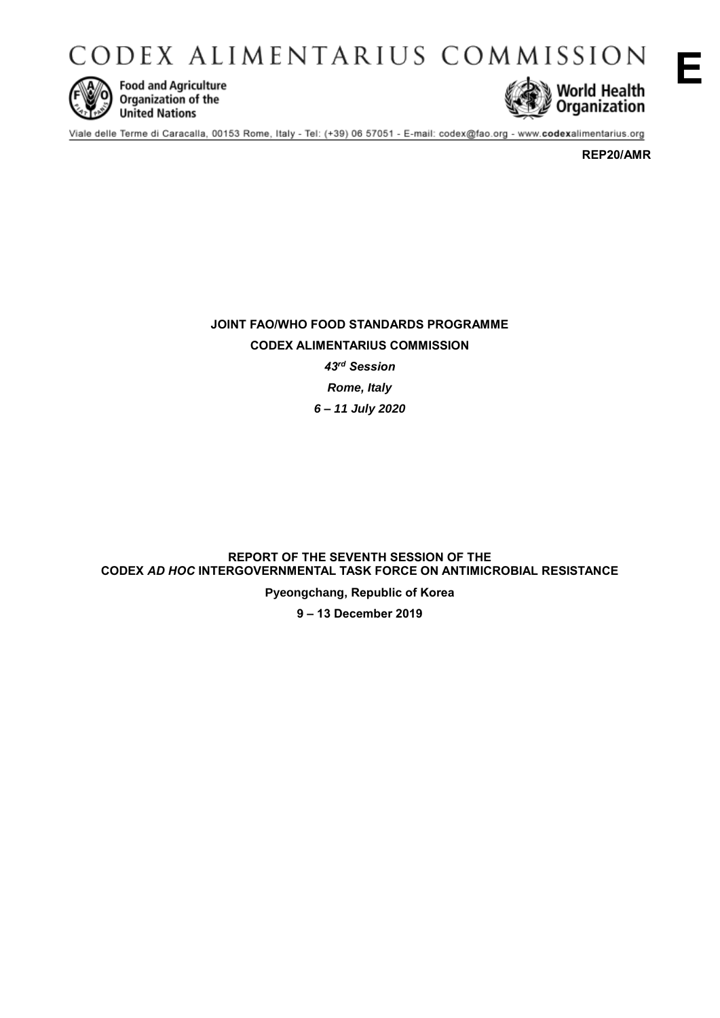CODEX ALIMENTARIUS COMMISSION



**Food and Agriculture** Organization of the **United Nations** 



**E**

Viale delle Terme di Caracalla, 00153 Rome, Italy - Tel: (+39) 06 57051 - E-mail: codex@fao.org - www.codexalimentarius.org

**REP20/AMR**

**JOINT FAO/WHO FOOD STANDARDS PROGRAMME CODEX ALIMENTARIUS COMMISSION** *43rd Session Rome, Italy 6 – 11 July 2020*

**REPORT OF THE SEVENTH SESSION OF THE CODEX** *AD HOC* **INTERGOVERNMENTAL TASK FORCE ON ANTIMICROBIAL RESISTANCE**

**Pyeongchang, Republic of Korea**

**9 – 13 December 2019**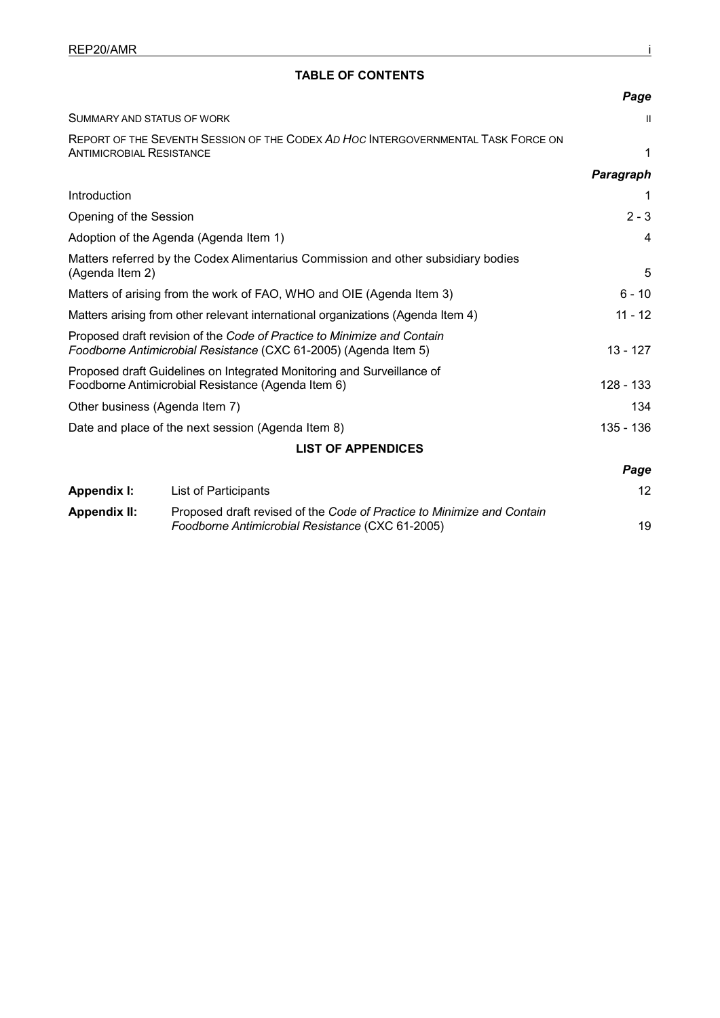# **TABLE OF CONTENTS**

|                                                                                                                                             | Page       |  |  |  |
|---------------------------------------------------------------------------------------------------------------------------------------------|------------|--|--|--|
| SUMMARY AND STATUS OF WORK                                                                                                                  | Ħ          |  |  |  |
| REPORT OF THE SEVENTH SESSION OF THE CODEX AD HOC INTERGOVERNMENTAL TASK FORCE ON<br><b>ANTIMICROBIAL RESISTANCE</b>                        | 1          |  |  |  |
|                                                                                                                                             | Paragraph  |  |  |  |
| Introduction                                                                                                                                |            |  |  |  |
| Opening of the Session                                                                                                                      | $2 - 3$    |  |  |  |
| Adoption of the Agenda (Agenda Item 1)                                                                                                      | 4          |  |  |  |
| Matters referred by the Codex Alimentarius Commission and other subsidiary bodies<br>(Agenda Item 2)                                        | 5          |  |  |  |
| Matters of arising from the work of FAO, WHO and OIE (Agenda Item 3)                                                                        | $6 - 10$   |  |  |  |
| Matters arising from other relevant international organizations (Agenda Item 4)                                                             | $11 - 12$  |  |  |  |
| Proposed draft revision of the Code of Practice to Minimize and Contain<br>Foodborne Antimicrobial Resistance (CXC 61-2005) (Agenda Item 5) | $13 - 127$ |  |  |  |
| Proposed draft Guidelines on Integrated Monitoring and Surveillance of<br>Foodborne Antimicrobial Resistance (Agenda Item 6)                | 128 - 133  |  |  |  |
| Other business (Agenda Item 7)                                                                                                              | 134        |  |  |  |
| Date and place of the next session (Agenda Item 8)                                                                                          | 135 - 136  |  |  |  |
| <b>LIST OF APPENDICES</b>                                                                                                                   |            |  |  |  |
|                                                                                                                                             | Page       |  |  |  |

| Appendix I:  | List of Participants                                                   |    |  |
|--------------|------------------------------------------------------------------------|----|--|
| Appendix II: | Proposed draft revised of the Code of Practice to Minimize and Contain |    |  |
|              | Foodborne Antimicrobial Resistance (CXC 61-2005)                       | 19 |  |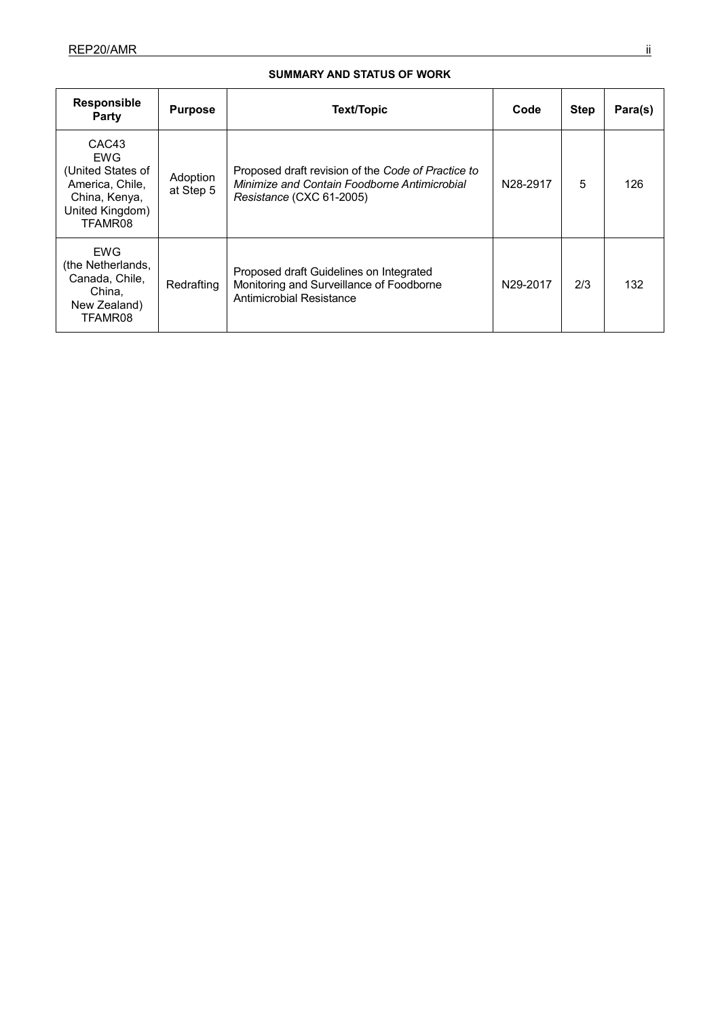# **SUMMARY AND STATUS OF WORK**

| <b>Responsible</b><br>Party                                                                                            | <b>Purpose</b>        | Text/Topic                                                                                                                     | Code                  | <b>Step</b> | Para(s) |
|------------------------------------------------------------------------------------------------------------------------|-----------------------|--------------------------------------------------------------------------------------------------------------------------------|-----------------------|-------------|---------|
| CAC <sub>43</sub><br><b>EWG</b><br>(United States of<br>America, Chile,<br>China, Kenya,<br>United Kingdom)<br>TFAMR08 | Adoption<br>at Step 5 | Proposed draft revision of the Code of Practice to<br>Minimize and Contain Foodborne Antimicrobial<br>Resistance (CXC 61-2005) | N <sub>28</sub> -2917 | 5           | 126     |
| <b>EWG</b><br>(the Netherlands,<br>Canada, Chile,<br>China.<br>New Zealand)<br>TFAMR08                                 | Redrafting            | Proposed draft Guidelines on Integrated<br>Monitoring and Surveillance of Foodborne<br>Antimicrobial Resistance                | N <sub>29</sub> -2017 | 2/3         | 132     |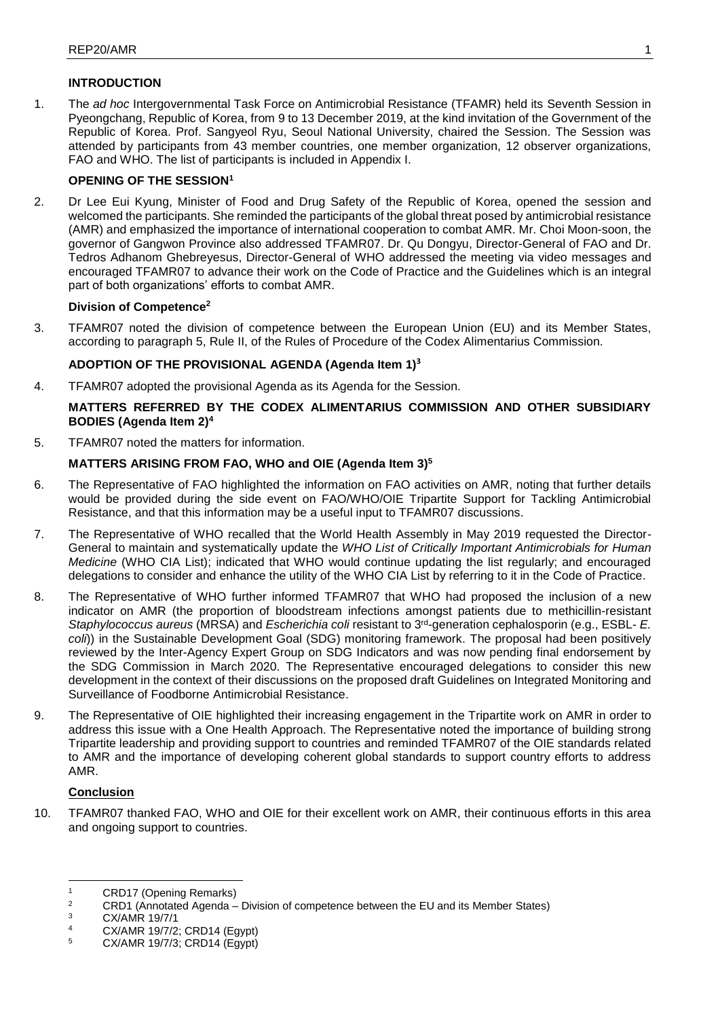# **INTRODUCTION**

1. The *ad hoc* Intergovernmental Task Force on Antimicrobial Resistance (TFAMR) held its Seventh Session in Pyeongchang, Republic of Korea, from 9 to 13 December 2019, at the kind invitation of the Government of the Republic of Korea. Prof. Sangyeol Ryu, Seoul National University, chaired the Session. The Session was attended by participants from 43 member countries, one member organization, 12 observer organizations, FAO and WHO. The list of participants is included in Appendix I.

# **OPENING OF THE SESSION<sup>1</sup>**

2. Dr Lee Eui Kyung, Minister of Food and Drug Safety of the Republic of Korea, opened the session and welcomed the participants. She reminded the participants of the global threat posed by antimicrobial resistance (AMR) and emphasized the importance of international cooperation to combat AMR. Mr. Choi Moon-soon, the governor of Gangwon Province also addressed TFAMR07. Dr. Qu Dongyu, Director-General of FAO and Dr. Tedros Adhanom Ghebreyesus, Director-General of WHO addressed the meeting via video messages and encouraged TFAMR07 to advance their work on the Code of Practice and the Guidelines which is an integral part of both organizations' efforts to combat AMR.

# **Division of Competence<sup>2</sup>**

3. TFAMR07 noted the division of competence between the European Union (EU) and its Member States, according to paragraph 5, Rule II, of the Rules of Procedure of the Codex Alimentarius Commission.

# **ADOPTION OF THE PROVISIONAL AGENDA (Agenda Item 1)<sup>3</sup>**

4. TFAMR07 adopted the provisional Agenda as its Agenda for the Session.

# **MATTERS REFERRED BY THE CODEX ALIMENTARIUS COMMISSION AND OTHER SUBSIDIARY BODIES (Agenda Item 2)<sup>4</sup>**

5. TFAMR07 noted the matters for information.

# **MATTERS ARISING FROM FAO, WHO and OIE (Agenda Item 3)<sup>5</sup>**

- 6. The Representative of FAO highlighted the information on FAO activities on AMR, noting that further details would be provided during the side event on FAO/WHO/OIE Tripartite Support for Tackling Antimicrobial Resistance, and that this information may be a useful input to TFAMR07 discussions.
- 7. The Representative of WHO recalled that the World Health Assembly in May 2019 requested the Director-General to maintain and systematically update the *WHO List of Critically Important Antimicrobials for Human Medicine* (WHO CIA List); indicated that WHO would continue updating the list regularly; and encouraged delegations to consider and enhance the utility of the WHO CIA List by referring to it in the Code of Practice.
- 8. The Representative of WHO further informed TFAMR07 that WHO had proposed the inclusion of a new indicator on AMR (the proportion of bloodstream infections amongst patients due to methicillin-resistant *Staphylococcus aureus* (MRSA) and *Escherichia coli* resistant to 3rd-generation cephalosporin (e.g., ESBL- *E. coli*)) in the Sustainable Development Goal (SDG) monitoring framework. The proposal had been positively reviewed by the Inter-Agency Expert Group on SDG Indicators and was now pending final endorsement by the SDG Commission in March 2020. The Representative encouraged delegations to consider this new development in the context of their discussions on the proposed draft Guidelines on Integrated Monitoring and Surveillance of Foodborne Antimicrobial Resistance.
- 9. The Representative of OIE highlighted their increasing engagement in the Tripartite work on AMR in order to address this issue with a One Health Approach. The Representative noted the importance of building strong Tripartite leadership and providing support to countries and reminded TFAMR07 of the OIE standards related to AMR and the importance of developing coherent global standards to support country efforts to address AMR.

# **Conclusion**

 $\overline{\phantom{a}}$ 

10. TFAMR07 thanked FAO, WHO and OIE for their excellent work on AMR, their continuous efforts in this area and ongoing support to countries.

<sup>&</sup>lt;sup>1</sup> CRD17 (Opening Remarks)

<sup>&</sup>lt;sup>2</sup> CRD1 (Annotated Agenda – Division of competence between the EU and its Member States)<br><sup>3</sup> CX/AMR 19/7/1

 $\frac{3}{4}$  CX/AMR 19/7/1

<sup>&</sup>lt;sup>4</sup> CX/AMR 19/7/2; CRD14 (Egypt)

<sup>5</sup> CX/AMR 19/7/3; CRD14 (Egypt)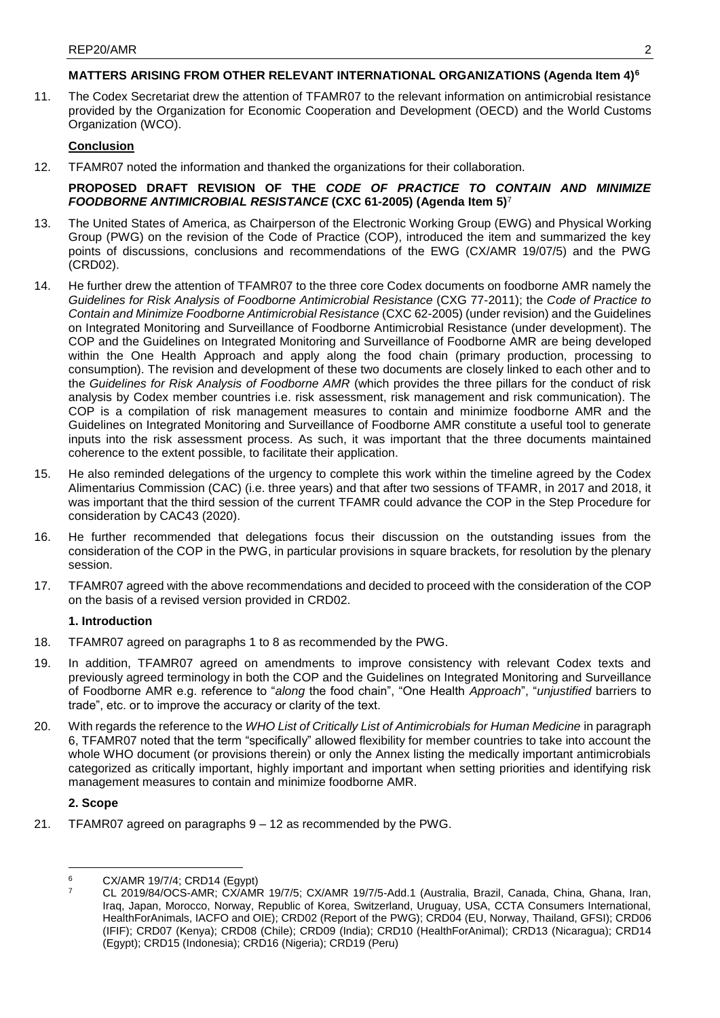# **MATTERS ARISING FROM OTHER RELEVANT INTERNATIONAL ORGANIZATIONS (Agenda Item 4)<sup>6</sup>**

11. The Codex Secretariat drew the attention of TFAMR07 to the relevant information on antimicrobial resistance provided by the Organization for Economic Cooperation and Development (OECD) and the World Customs Organization (WCO).

# **Conclusion**

12. TFAMR07 noted the information and thanked the organizations for their collaboration.

# **PROPOSED DRAFT REVISION OF THE** *CODE OF PRACTICE TO CONTAIN AND MINIMIZE FOODBORNE ANTIMICROBIAL RESISTANCE* **(CXC 61-2005) (Agenda Item 5)**<sup>7</sup>

- 13. The United States of America, as Chairperson of the Electronic Working Group (EWG) and Physical Working Group (PWG) on the revision of the Code of Practice (COP), introduced the item and summarized the key points of discussions, conclusions and recommendations of the EWG (CX/AMR 19/07/5) and the PWG (CRD02).
- 14. He further drew the attention of TFAMR07 to the three core Codex documents on foodborne AMR namely the *Guidelines for Risk Analysis of Foodborne Antimicrobial Resistance* (CXG 77-2011); the *Code of Practice to Contain and Minimize Foodborne Antimicrobial Resistance* (CXC 62-2005) (under revision) and the Guidelines on Integrated Monitoring and Surveillance of Foodborne Antimicrobial Resistance (under development). The COP and the Guidelines on Integrated Monitoring and Surveillance of Foodborne AMR are being developed within the One Health Approach and apply along the food chain (primary production, processing to consumption). The revision and development of these two documents are closely linked to each other and to the *Guidelines for Risk Analysis of Foodborne AMR* (which provides the three pillars for the conduct of risk analysis by Codex member countries i.e. risk assessment, risk management and risk communication). The COP is a compilation of risk management measures to contain and minimize foodborne AMR and the Guidelines on Integrated Monitoring and Surveillance of Foodborne AMR constitute a useful tool to generate inputs into the risk assessment process. As such, it was important that the three documents maintained coherence to the extent possible, to facilitate their application.
- 15. He also reminded delegations of the urgency to complete this work within the timeline agreed by the Codex Alimentarius Commission (CAC) (i.e. three years) and that after two sessions of TFAMR, in 2017 and 2018, it was important that the third session of the current TFAMR could advance the COP in the Step Procedure for consideration by CAC43 (2020).
- 16. He further recommended that delegations focus their discussion on the outstanding issues from the consideration of the COP in the PWG, in particular provisions in square brackets, for resolution by the plenary session.
- 17. TFAMR07 agreed with the above recommendations and decided to proceed with the consideration of the COP on the basis of a revised version provided in CRD02.

# **1. Introduction**

- 18. TFAMR07 agreed on paragraphs 1 to 8 as recommended by the PWG.
- 19. In addition, TFAMR07 agreed on amendments to improve consistency with relevant Codex texts and previously agreed terminology in both the COP and the Guidelines on Integrated Monitoring and Surveillance of Foodborne AMR e.g. reference to "*along* the food chain", "One Health *Approach*", "*unjustified* barriers to trade", etc. or to improve the accuracy or clarity of the text.
- 20. With regards the reference to the *WHO List of Critically List of Antimicrobials for Human Medicine* in paragraph 6, TFAMR07 noted that the term "specifically" allowed flexibility for member countries to take into account the whole WHO document (or provisions therein) or only the Annex listing the medically important antimicrobials categorized as critically important, highly important and important when setting priorities and identifying risk management measures to contain and minimize foodborne AMR.

# **2. Scope**

21. TFAMR07 agreed on paragraphs 9 – 12 as recommended by the PWG.

**<sup>.</sup>**  $^{6}$  CX/AMR 19/7/4; CRD14 (Egypt)

<sup>7</sup> CL 2019/84/OCS-AMR; CX/AMR 19/7/5; CX/AMR 19/7/5-Add.1 (Australia, Brazil, Canada, China, Ghana, Iran, Iraq, Japan, Morocco, Norway, Republic of Korea, Switzerland, Uruguay, USA, CCTA Consumers International, HealthForAnimals, IACFO and OIE); CRD02 (Report of the PWG); CRD04 (EU, Norway, Thailand, GFSI); CRD06 (IFIF); CRD07 (Kenya); CRD08 (Chile); CRD09 (India); CRD10 (HealthForAnimal); CRD13 (Nicaragua); CRD14 (Egypt); CRD15 (Indonesia); CRD16 (Nigeria); CRD19 (Peru)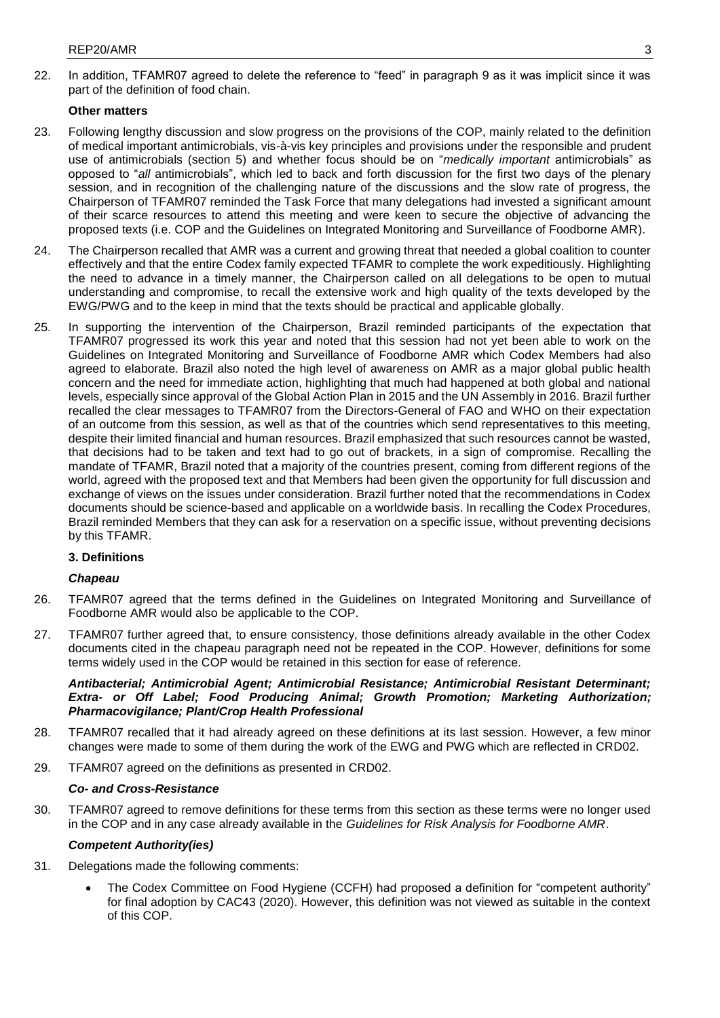22. In addition, TFAMR07 agreed to delete the reference to "feed" in paragraph 9 as it was implicit since it was part of the definition of food chain.

# **Other matters**

- 23. Following lengthy discussion and slow progress on the provisions of the COP, mainly related to the definition of medical important antimicrobials, vis-à-vis key principles and provisions under the responsible and prudent use of antimicrobials (section 5) and whether focus should be on "*medically important* antimicrobials" as opposed to "*all* antimicrobials", which led to back and forth discussion for the first two days of the plenary session, and in recognition of the challenging nature of the discussions and the slow rate of progress, the Chairperson of TFAMR07 reminded the Task Force that many delegations had invested a significant amount of their scarce resources to attend this meeting and were keen to secure the objective of advancing the proposed texts (i.e. COP and the Guidelines on Integrated Monitoring and Surveillance of Foodborne AMR).
- 24. The Chairperson recalled that AMR was a current and growing threat that needed a global coalition to counter effectively and that the entire Codex family expected TFAMR to complete the work expeditiously. Highlighting the need to advance in a timely manner, the Chairperson called on all delegations to be open to mutual understanding and compromise, to recall the extensive work and high quality of the texts developed by the EWG/PWG and to the keep in mind that the texts should be practical and applicable globally.
- 25. In supporting the intervention of the Chairperson, Brazil reminded participants of the expectation that TFAMR07 progressed its work this year and noted that this session had not yet been able to work on the Guidelines on Integrated Monitoring and Surveillance of Foodborne AMR which Codex Members had also agreed to elaborate. Brazil also noted the high level of awareness on AMR as a major global public health concern and the need for immediate action, highlighting that much had happened at both global and national levels, especially since approval of the Global Action Plan in 2015 and the UN Assembly in 2016. Brazil further recalled the clear messages to TFAMR07 from the Directors-General of FAO and WHO on their expectation of an outcome from this session, as well as that of the countries which send representatives to this meeting, despite their limited financial and human resources. Brazil emphasized that such resources cannot be wasted, that decisions had to be taken and text had to go out of brackets, in a sign of compromise. Recalling the mandate of TFAMR, Brazil noted that a majority of the countries present, coming from different regions of the world, agreed with the proposed text and that Members had been given the opportunity for full discussion and exchange of views on the issues under consideration. Brazil further noted that the recommendations in Codex documents should be science-based and applicable on a worldwide basis. In recalling the Codex Procedures, Brazil reminded Members that they can ask for a reservation on a specific issue, without preventing decisions by this TFAMR.

# **3. Definitions**

## *Chapeau*

- 26. TFAMR07 agreed that the terms defined in the Guidelines on Integrated Monitoring and Surveillance of Foodborne AMR would also be applicable to the COP.
- 27. TFAMR07 further agreed that, to ensure consistency, those definitions already available in the other Codex documents cited in the chapeau paragraph need not be repeated in the COP. However, definitions for some terms widely used in the COP would be retained in this section for ease of reference.

*Antibacterial; Antimicrobial Agent; Antimicrobial Resistance; Antimicrobial Resistant Determinant; Extra- or Off Label; Food Producing Animal; Growth Promotion; Marketing Authorization; Pharmacovigilance; Plant/Crop Health Professional* 

- 28. TFAMR07 recalled that it had already agreed on these definitions at its last session. However, a few minor changes were made to some of them during the work of the EWG and PWG which are reflected in CRD02.
- 29. TFAMR07 agreed on the definitions as presented in CRD02.

## *Co- and Cross-Resistance*

30. TFAMR07 agreed to remove definitions for these terms from this section as these terms were no longer used in the COP and in any case already available in the *Guidelines for Risk Analysis for Foodborne AMR*.

# *Competent Authority(ies)*

- 31. Delegations made the following comments:
	- The Codex Committee on Food Hygiene (CCFH) had proposed a definition for "competent authority" for final adoption by CAC43 (2020). However, this definition was not viewed as suitable in the context of this COP.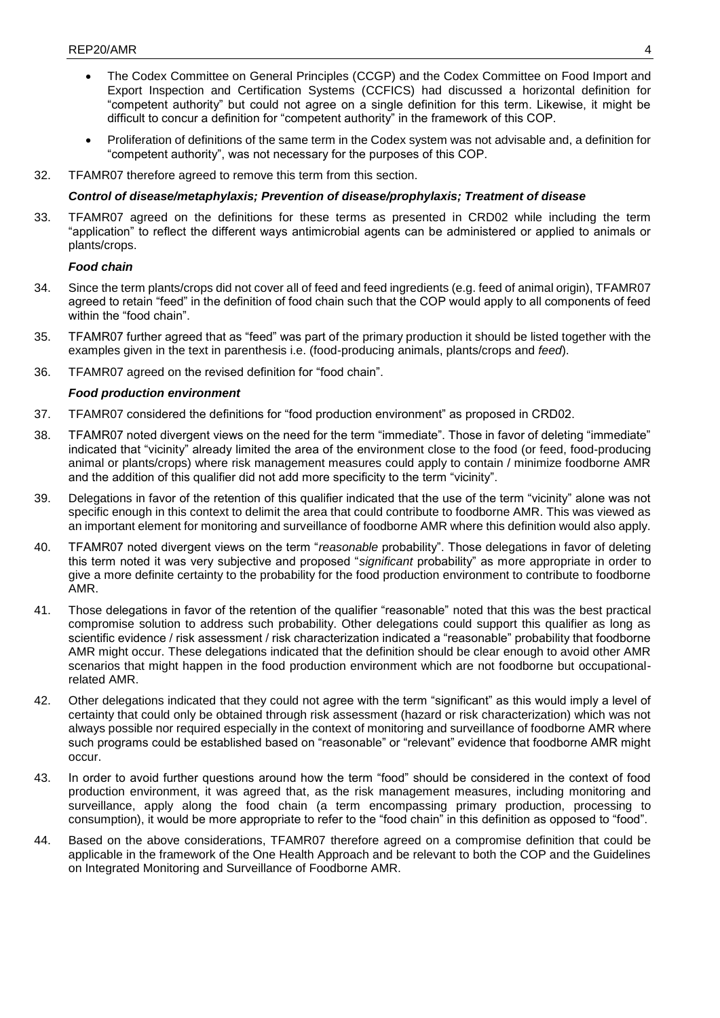- The Codex Committee on General Principles (CCGP) and the Codex Committee on Food Import and Export Inspection and Certification Systems (CCFICS) had discussed a horizontal definition for "competent authority" but could not agree on a single definition for this term. Likewise, it might be difficult to concur a definition for "competent authority" in the framework of this COP.
- Proliferation of definitions of the same term in the Codex system was not advisable and, a definition for "competent authority", was not necessary for the purposes of this COP.
- 32. TFAMR07 therefore agreed to remove this term from this section.

## *Control of disease/metaphylaxis; Prevention of disease/prophylaxis; Treatment of disease*

33. TFAMR07 agreed on the definitions for these terms as presented in CRD02 while including the term "application" to reflect the different ways antimicrobial agents can be administered or applied to animals or plants/crops.

# *Food chain*

- 34. Since the term plants/crops did not cover all of feed and feed ingredients (e.g. feed of animal origin), TFAMR07 agreed to retain "feed" in the definition of food chain such that the COP would apply to all components of feed within the "food chain".
- 35. TFAMR07 further agreed that as "feed" was part of the primary production it should be listed together with the examples given in the text in parenthesis i.e. (food-producing animals, plants/crops and *feed*).
- 36. TFAMR07 agreed on the revised definition for "food chain".

# *Food production environment*

- 37. TFAMR07 considered the definitions for "food production environment" as proposed in CRD02.
- 38. TFAMR07 noted divergent views on the need for the term "immediate". Those in favor of deleting "immediate" indicated that "vicinity" already limited the area of the environment close to the food (or feed, food-producing animal or plants/crops) where risk management measures could apply to contain / minimize foodborne AMR and the addition of this qualifier did not add more specificity to the term "vicinity".
- 39. Delegations in favor of the retention of this qualifier indicated that the use of the term "vicinity" alone was not specific enough in this context to delimit the area that could contribute to foodborne AMR. This was viewed as an important element for monitoring and surveillance of foodborne AMR where this definition would also apply.
- 40. TFAMR07 noted divergent views on the term "*reasonable* probability". Those delegations in favor of deleting this term noted it was very subjective and proposed "*significant* probability" as more appropriate in order to give a more definite certainty to the probability for the food production environment to contribute to foodborne AMR.
- 41. Those delegations in favor of the retention of the qualifier "reasonable" noted that this was the best practical compromise solution to address such probability. Other delegations could support this qualifier as long as scientific evidence / risk assessment / risk characterization indicated a "reasonable" probability that foodborne AMR might occur. These delegations indicated that the definition should be clear enough to avoid other AMR scenarios that might happen in the food production environment which are not foodborne but occupationalrelated AMR.
- 42. Other delegations indicated that they could not agree with the term "significant" as this would imply a level of certainty that could only be obtained through risk assessment (hazard or risk characterization) which was not always possible nor required especially in the context of monitoring and surveillance of foodborne AMR where such programs could be established based on "reasonable" or "relevant" evidence that foodborne AMR might occur.
- 43. In order to avoid further questions around how the term "food" should be considered in the context of food production environment, it was agreed that, as the risk management measures, including monitoring and surveillance, apply along the food chain (a term encompassing primary production, processing to consumption), it would be more appropriate to refer to the "food chain" in this definition as opposed to "food".
- 44. Based on the above considerations, TFAMR07 therefore agreed on a compromise definition that could be applicable in the framework of the One Health Approach and be relevant to both the COP and the Guidelines on Integrated Monitoring and Surveillance of Foodborne AMR.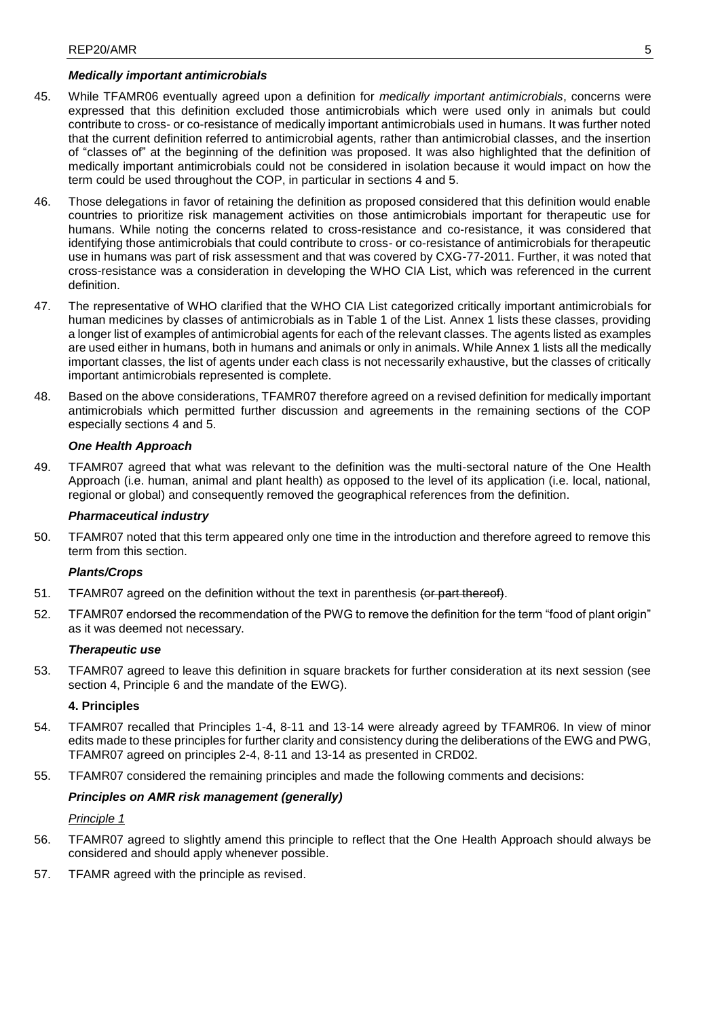# *Medically important antimicrobials*

- 45. While TFAMR06 eventually agreed upon a definition for *medically important antimicrobials*, concerns were expressed that this definition excluded those antimicrobials which were used only in animals but could contribute to cross- or co-resistance of medically important antimicrobials used in humans. It was further noted that the current definition referred to antimicrobial agents, rather than antimicrobial classes, and the insertion of "classes of" at the beginning of the definition was proposed. It was also highlighted that the definition of medically important antimicrobials could not be considered in isolation because it would impact on how the term could be used throughout the COP, in particular in sections 4 and 5.
- 46. Those delegations in favor of retaining the definition as proposed considered that this definition would enable countries to prioritize risk management activities on those antimicrobials important for therapeutic use for humans. While noting the concerns related to cross-resistance and co-resistance, it was considered that identifying those antimicrobials that could contribute to cross- or co-resistance of antimicrobials for therapeutic use in humans was part of risk assessment and that was covered by CXG-77-2011. Further, it was noted that cross-resistance was a consideration in developing the WHO CIA List, which was referenced in the current definition.
- 47. The representative of WHO clarified that the WHO CIA List categorized critically important antimicrobials for human medicines by classes of antimicrobials as in Table 1 of the List. Annex 1 lists these classes, providing a longer list of examples of antimicrobial agents for each of the relevant classes. The agents listed as examples are used either in humans, both in humans and animals or only in animals. While Annex 1 lists all the medically important classes, the list of agents under each class is not necessarily exhaustive, but the classes of critically important antimicrobials represented is complete.
- 48. Based on the above considerations, TFAMR07 therefore agreed on a revised definition for medically important antimicrobials which permitted further discussion and agreements in the remaining sections of the COP especially sections 4 and 5.

## *One Health Approach*

49. TFAMR07 agreed that what was relevant to the definition was the multi-sectoral nature of the One Health Approach (i.e. human, animal and plant health) as opposed to the level of its application (i.e. local, national, regional or global) and consequently removed the geographical references from the definition.

## *Pharmaceutical industry*

50. TFAMR07 noted that this term appeared only one time in the introduction and therefore agreed to remove this term from this section.

## *Plants/Crops*

- 51. TFAMR07 agreed on the definition without the text in parenthesis (or part thereof).
- 52. TFAMR07 endorsed the recommendation of the PWG to remove the definition for the term "food of plant origin" as it was deemed not necessary.

## *Therapeutic use*

53. TFAMR07 agreed to leave this definition in square brackets for further consideration at its next session (see section 4, Principle 6 and the mandate of the EWG).

## **4. Principles**

- 54. TFAMR07 recalled that Principles 1-4, 8-11 and 13-14 were already agreed by TFAMR06. In view of minor edits made to these principles for further clarity and consistency during the deliberations of the EWG and PWG, TFAMR07 agreed on principles 2-4, 8-11 and 13-14 as presented in CRD02.
- 55. TFAMR07 considered the remaining principles and made the following comments and decisions:

## *Principles on AMR risk management (generally)*

*Principle 1*

- 56. TFAMR07 agreed to slightly amend this principle to reflect that the One Health Approach should always be considered and should apply whenever possible.
- 57. TFAMR agreed with the principle as revised.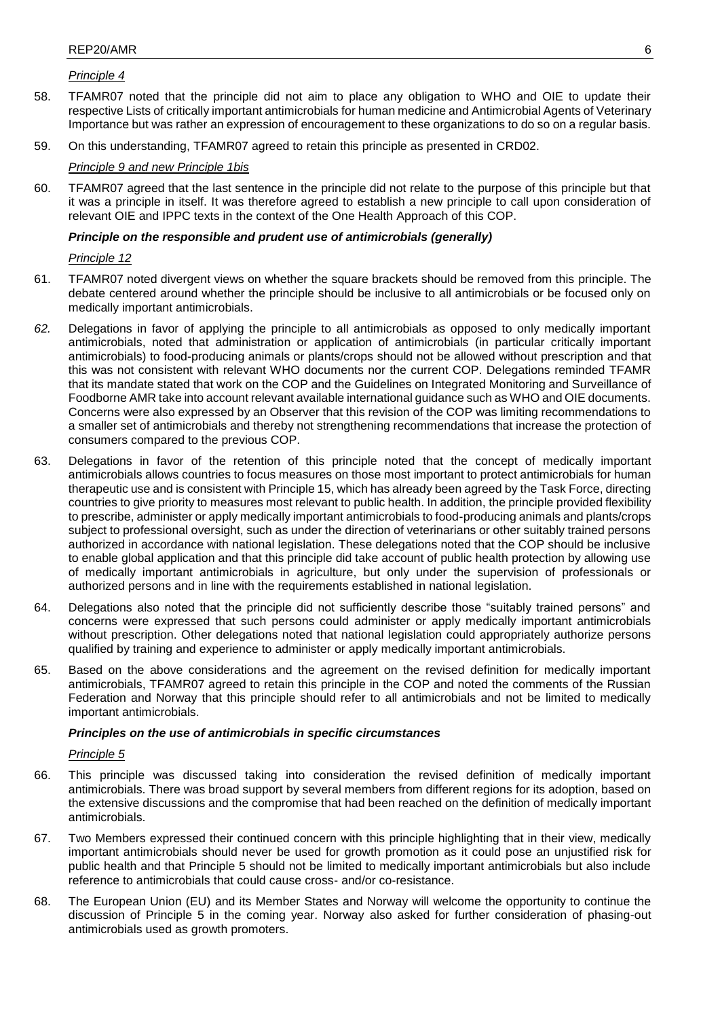# *Principle 4*

- 58. TFAMR07 noted that the principle did not aim to place any obligation to WHO and OIE to update their respective Lists of critically important antimicrobials for human medicine and Antimicrobial Agents of Veterinary Importance but was rather an expression of encouragement to these organizations to do so on a regular basis.
- 59. On this understanding, TFAMR07 agreed to retain this principle as presented in CRD02.

## *Principle 9 and new Principle 1bis*

60. TFAMR07 agreed that the last sentence in the principle did not relate to the purpose of this principle but that it was a principle in itself. It was therefore agreed to establish a new principle to call upon consideration of relevant OIE and IPPC texts in the context of the One Health Approach of this COP.

## *Principle on the responsible and prudent use of antimicrobials (generally)*

## *Principle 12*

- 61. TFAMR07 noted divergent views on whether the square brackets should be removed from this principle. The debate centered around whether the principle should be inclusive to all antimicrobials or be focused only on medically important antimicrobials.
- *62.* Delegations in favor of applying the principle to all antimicrobials as opposed to only medically important antimicrobials, noted that administration or application of antimicrobials (in particular critically important antimicrobials) to food-producing animals or plants/crops should not be allowed without prescription and that this was not consistent with relevant WHO documents nor the current COP. Delegations reminded TFAMR that its mandate stated that work on the COP and the Guidelines on Integrated Monitoring and Surveillance of Foodborne AMR take into account relevant available international guidance such as WHO and OIE documents. Concerns were also expressed by an Observer that this revision of the COP was limiting recommendations to a smaller set of antimicrobials and thereby not strengthening recommendations that increase the protection of consumers compared to the previous COP.
- 63. Delegations in favor of the retention of this principle noted that the concept of medically important antimicrobials allows countries to focus measures on those most important to protect antimicrobials for human therapeutic use and is consistent with Principle 15, which has already been agreed by the Task Force, directing countries to give priority to measures most relevant to public health. In addition, the principle provided flexibility to prescribe, administer or apply medically important antimicrobials to food-producing animals and plants/crops subject to professional oversight, such as under the direction of veterinarians or other suitably trained persons authorized in accordance with national legislation. These delegations noted that the COP should be inclusive to enable global application and that this principle did take account of public health protection by allowing use of medically important antimicrobials in agriculture, but only under the supervision of professionals or authorized persons and in line with the requirements established in national legislation.
- 64. Delegations also noted that the principle did not sufficiently describe those "suitably trained persons" and concerns were expressed that such persons could administer or apply medically important antimicrobials without prescription. Other delegations noted that national legislation could appropriately authorize persons qualified by training and experience to administer or apply medically important antimicrobials.
- 65. Based on the above considerations and the agreement on the revised definition for medically important antimicrobials, TFAMR07 agreed to retain this principle in the COP and noted the comments of the Russian Federation and Norway that this principle should refer to all antimicrobials and not be limited to medically important antimicrobials.

## *Principles on the use of antimicrobials in specific circumstances*

## *Principle 5*

- 66. This principle was discussed taking into consideration the revised definition of medically important antimicrobials. There was broad support by several members from different regions for its adoption, based on the extensive discussions and the compromise that had been reached on the definition of medically important antimicrobials.
- 67. Two Members expressed their continued concern with this principle highlighting that in their view, medically important antimicrobials should never be used for growth promotion as it could pose an unjustified risk for public health and that Principle 5 should not be limited to medically important antimicrobials but also include reference to antimicrobials that could cause cross- and/or co-resistance.
- 68. The European Union (EU) and its Member States and Norway will welcome the opportunity to continue the discussion of Principle 5 in the coming year. Norway also asked for further consideration of phasing-out antimicrobials used as growth promoters.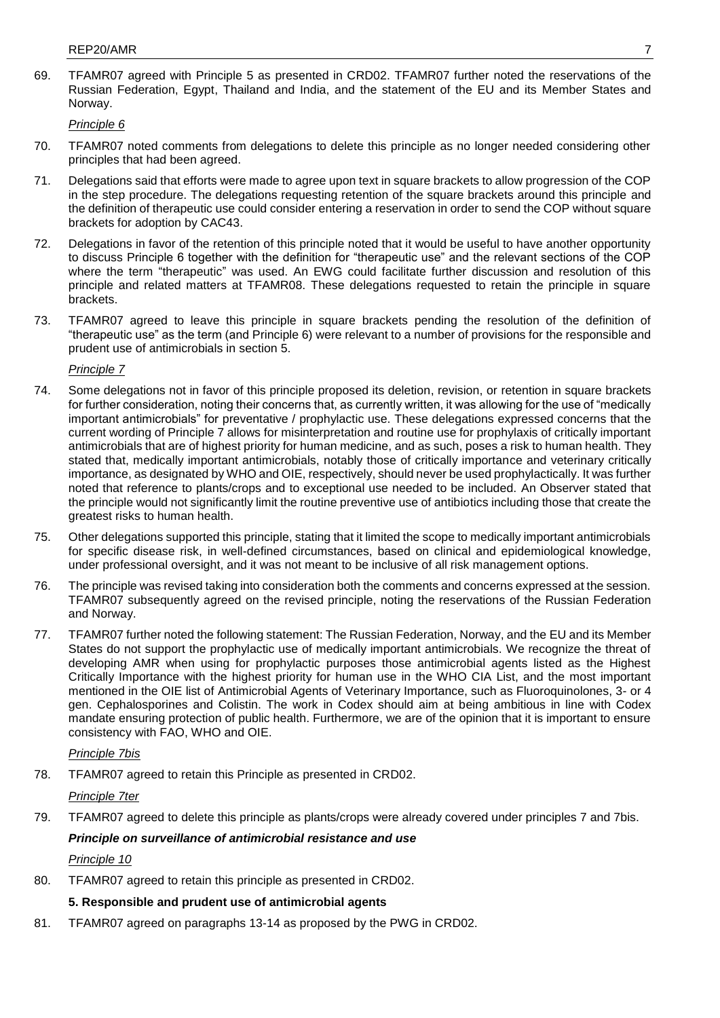69. TFAMR07 agreed with Principle 5 as presented in CRD02. TFAMR07 further noted the reservations of the Russian Federation, Egypt, Thailand and India, and the statement of the EU and its Member States and Norway.

*Principle 6*

- 70. TFAMR07 noted comments from delegations to delete this principle as no longer needed considering other principles that had been agreed.
- 71. Delegations said that efforts were made to agree upon text in square brackets to allow progression of the COP in the step procedure. The delegations requesting retention of the square brackets around this principle and the definition of therapeutic use could consider entering a reservation in order to send the COP without square brackets for adoption by CAC43.
- 72. Delegations in favor of the retention of this principle noted that it would be useful to have another opportunity to discuss Principle 6 together with the definition for "therapeutic use" and the relevant sections of the COP where the term "therapeutic" was used. An EWG could facilitate further discussion and resolution of this principle and related matters at TFAMR08. These delegations requested to retain the principle in square brackets.
- 73. TFAMR07 agreed to leave this principle in square brackets pending the resolution of the definition of "therapeutic use" as the term (and Principle 6) were relevant to a number of provisions for the responsible and prudent use of antimicrobials in section 5.

*Principle 7* 

- 74. Some delegations not in favor of this principle proposed its deletion, revision, or retention in square brackets for further consideration, noting their concerns that, as currently written, it was allowing for the use of "medically important antimicrobials" for preventative / prophylactic use. These delegations expressed concerns that the current wording of Principle 7 allows for misinterpretation and routine use for prophylaxis of critically important antimicrobials that are of highest priority for human medicine, and as such, poses a risk to human health. They stated that, medically important antimicrobials, notably those of critically importance and veterinary critically importance, as designated by WHO and OIE, respectively, should never be used prophylactically. It was further noted that reference to plants/crops and to exceptional use needed to be included. An Observer stated that the principle would not significantly limit the routine preventive use of antibiotics including those that create the greatest risks to human health.
- 75. Other delegations supported this principle, stating that it limited the scope to medically important antimicrobials for specific disease risk, in well-defined circumstances, based on clinical and epidemiological knowledge, under professional oversight, and it was not meant to be inclusive of all risk management options.
- 76. The principle was revised taking into consideration both the comments and concerns expressed at the session. TFAMR07 subsequently agreed on the revised principle, noting the reservations of the Russian Federation and Norway.
- 77. TFAMR07 further noted the following statement: The Russian Federation, Norway, and the EU and its Member States do not support the prophylactic use of medically important antimicrobials. We recognize the threat of developing AMR when using for prophylactic purposes those antimicrobial agents listed as the Highest Critically Importance with the highest priority for human use in the WHO CIA List, and the most important mentioned in the OIE list of Antimicrobial Agents of Veterinary Importance, such as Fluoroquinolones, 3- or 4 gen. Cephalosporines and Colistin. The work in Codex should aim at being ambitious in line with Codex mandate ensuring protection of public health. Furthermore, we are of the opinion that it is important to ensure consistency with FAO, WHO and OIE.

### *Principle 7bis*

78. TFAMR07 agreed to retain this Principle as presented in CRD02.

#### *Principle 7ter*

79. TFAMR07 agreed to delete this principle as plants/crops were already covered under principles 7 and 7bis.

### *Principle on surveillance of antimicrobial resistance and use*

#### *Principle 10*

80. TFAMR07 agreed to retain this principle as presented in CRD02.

# **5. Responsible and prudent use of antimicrobial agents**

81. TFAMR07 agreed on paragraphs 13-14 as proposed by the PWG in CRD02.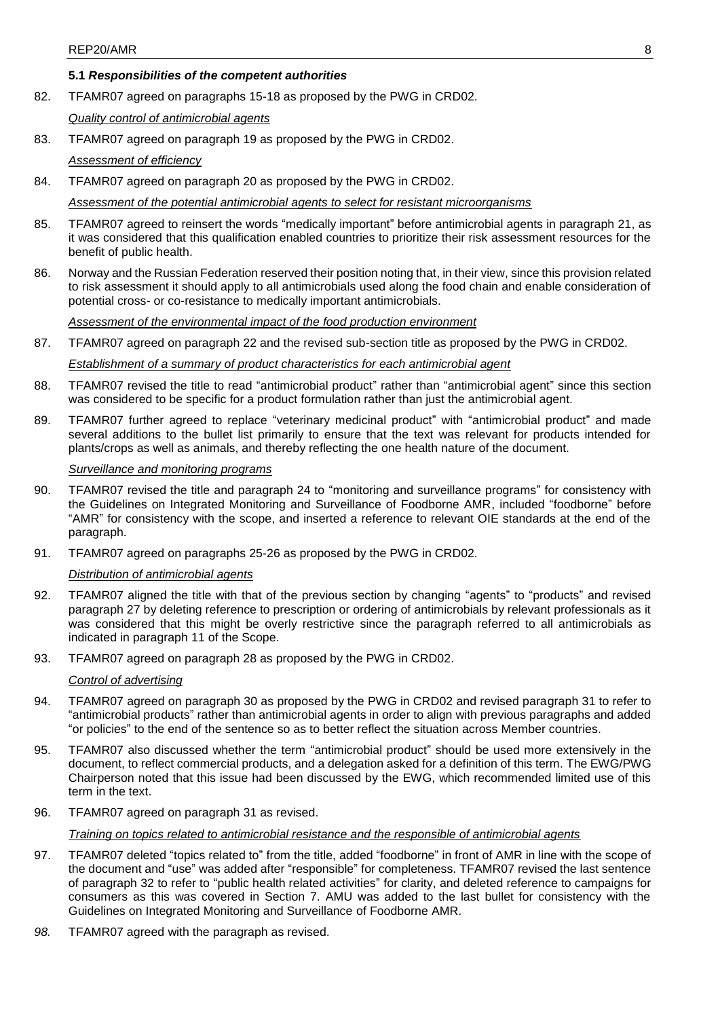## **5.1** *Responsibilities of the competent authorities*

82. TFAMR07 agreed on paragraphs 15-18 as proposed by the PWG in CRD02.

## *Quality control of antimicrobial agents*

83. TFAMR07 agreed on paragraph 19 as proposed by the PWG in CRD02.

## *Assessment of efficiency*

84. TFAMR07 agreed on paragraph 20 as proposed by the PWG in CRD02.

## *Assessment of the potential antimicrobial agents to select for resistant microorganisms*

- 85. TFAMR07 agreed to reinsert the words "medically important" before antimicrobial agents in paragraph 21, as it was considered that this qualification enabled countries to prioritize their risk assessment resources for the benefit of public health.
- 86. Norway and the Russian Federation reserved their position noting that, in their view, since this provision related to risk assessment it should apply to all antimicrobials used along the food chain and enable consideration of potential cross- or co-resistance to medically important antimicrobials.

*Assessment of the environmental impact of the food production environment*

87. TFAMR07 agreed on paragraph 22 and the revised sub-section title as proposed by the PWG in CRD02.

# *Establishment of a summary of product characteristics for each antimicrobial agent*

- 88. TFAMR07 revised the title to read "antimicrobial product" rather than "antimicrobial agent" since this section was considered to be specific for a product formulation rather than just the antimicrobial agent.
- 89. TFAMR07 further agreed to replace "veterinary medicinal product" with "antimicrobial product" and made several additions to the bullet list primarily to ensure that the text was relevant for products intended for plants/crops as well as animals, and thereby reflecting the one health nature of the document.

# *Surveillance and monitoring programs*

- 90. TFAMR07 revised the title and paragraph 24 to "monitoring and surveillance programs" for consistency with the Guidelines on Integrated Monitoring and Surveillance of Foodborne AMR, included "foodborne" before "AMR" for consistency with the scope, and inserted a reference to relevant OIE standards at the end of the paragraph.
- 91. TFAMR07 agreed on paragraphs 25-26 as proposed by the PWG in CRD02.

# *Distribution of antimicrobial agents*

- 92. TFAMR07 aligned the title with that of the previous section by changing "agents" to "products" and revised paragraph 27 by deleting reference to prescription or ordering of antimicrobials by relevant professionals as it was considered that this might be overly restrictive since the paragraph referred to all antimicrobials as indicated in paragraph 11 of the Scope.
- 93. TFAMR07 agreed on paragraph 28 as proposed by the PWG in CRD02.

## *Control of advertising*

- 94. TFAMR07 agreed on paragraph 30 as proposed by the PWG in CRD02 and revised paragraph 31 to refer to "antimicrobial products" rather than antimicrobial agents in order to align with previous paragraphs and added "or policies" to the end of the sentence so as to better reflect the situation across Member countries.
- 95. TFAMR07 also discussed whether the term "antimicrobial product" should be used more extensively in the document, to reflect commercial products, and a delegation asked for a definition of this term. The EWG/PWG Chairperson noted that this issue had been discussed by the EWG, which recommended limited use of this term in the text.
- 96. TFAMR07 agreed on paragraph 31 as revised.

## *Training on topics related to antimicrobial resistance and the responsible of antimicrobial agents*

- 97. TFAMR07 deleted "topics related to" from the title, added "foodborne" in front of AMR in line with the scope of the document and "use" was added after "responsible" for completeness. TFAMR07 revised the last sentence of paragraph 32 to refer to "public health related activities" for clarity, and deleted reference to campaigns for consumers as this was covered in Section 7. AMU was added to the last bullet for consistency with the Guidelines on Integrated Monitoring and Surveillance of Foodborne AMR.
- *98.* TFAMR07 agreed with the paragraph as revised.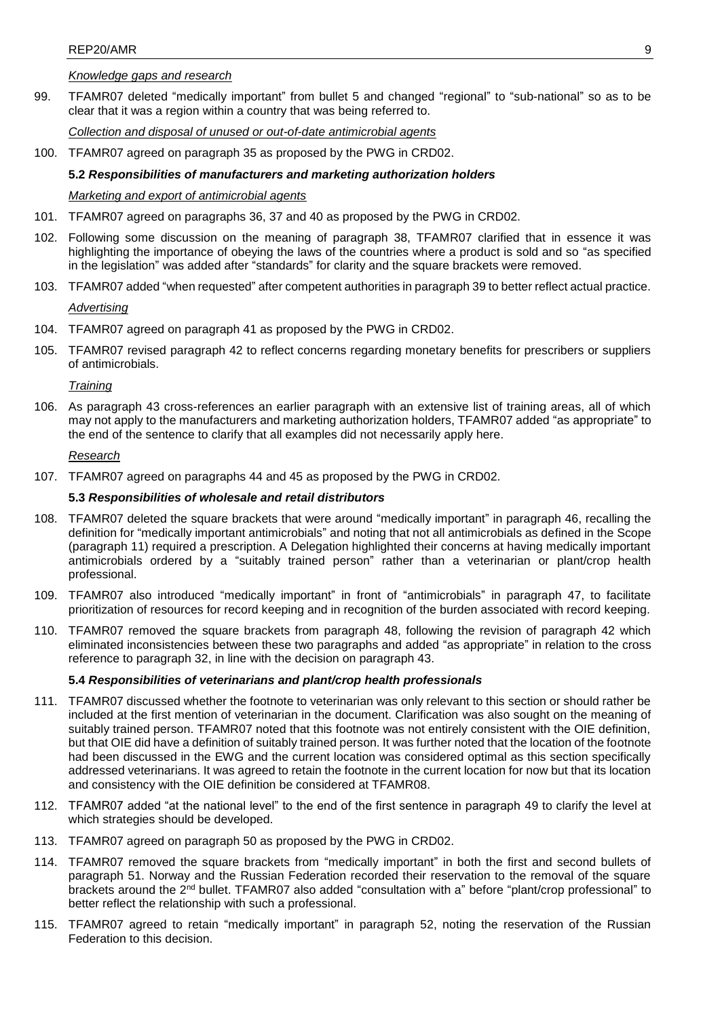## *Knowledge gaps and research*

99. TFAMR07 deleted "medically important" from bullet 5 and changed "regional" to "sub-national" so as to be clear that it was a region within a country that was being referred to.

*Collection and disposal of unused or out-of-date antimicrobial agents*

100. TFAMR07 agreed on paragraph 35 as proposed by the PWG in CRD02.

## **5.2** *Responsibilities of manufacturers and marketing authorization holders*

# *Marketing and export of antimicrobial agents*

- 101. TFAMR07 agreed on paragraphs 36, 37 and 40 as proposed by the PWG in CRD02.
- 102. Following some discussion on the meaning of paragraph 38, TFAMR07 clarified that in essence it was highlighting the importance of obeying the laws of the countries where a product is sold and so "as specified in the legislation" was added after "standards" for clarity and the square brackets were removed.
- 103. TFAMR07 added "when requested" after competent authorities in paragraph 39 to better reflect actual practice.

### *Advertising*

- 104. TFAMR07 agreed on paragraph 41 as proposed by the PWG in CRD02.
- 105. TFAMR07 revised paragraph 42 to reflect concerns regarding monetary benefits for prescribers or suppliers of antimicrobials.

*Training*

106. As paragraph 43 cross-references an earlier paragraph with an extensive list of training areas, all of which may not apply to the manufacturers and marketing authorization holders, TFAMR07 added "as appropriate" to the end of the sentence to clarify that all examples did not necessarily apply here.

### *Research*

107. TFAMR07 agreed on paragraphs 44 and 45 as proposed by the PWG in CRD02.

## **5.3** *Responsibilities of wholesale and retail distributors*

- 108. TFAMR07 deleted the square brackets that were around "medically important" in paragraph 46, recalling the definition for "medically important antimicrobials" and noting that not all antimicrobials as defined in the Scope (paragraph 11) required a prescription. A Delegation highlighted their concerns at having medically important antimicrobials ordered by a "suitably trained person" rather than a veterinarian or plant/crop health professional.
- 109. TFAMR07 also introduced "medically important" in front of "antimicrobials" in paragraph 47, to facilitate prioritization of resources for record keeping and in recognition of the burden associated with record keeping.
- 110. TFAMR07 removed the square brackets from paragraph 48, following the revision of paragraph 42 which eliminated inconsistencies between these two paragraphs and added "as appropriate" in relation to the cross reference to paragraph 32, in line with the decision on paragraph 43.

# **5.4** *Responsibilities of veterinarians and plant/crop health professionals*

- 111. TFAMR07 discussed whether the footnote to veterinarian was only relevant to this section or should rather be included at the first mention of veterinarian in the document. Clarification was also sought on the meaning of suitably trained person. TFAMR07 noted that this footnote was not entirely consistent with the OIE definition, but that OIE did have a definition of suitably trained person. It was further noted that the location of the footnote had been discussed in the EWG and the current location was considered optimal as this section specifically addressed veterinarians. It was agreed to retain the footnote in the current location for now but that its location and consistency with the OIE definition be considered at TFAMR08.
- 112. TFAMR07 added "at the national level" to the end of the first sentence in paragraph 49 to clarify the level at which strategies should be developed.
- 113. TFAMR07 agreed on paragraph 50 as proposed by the PWG in CRD02.
- 114. TFAMR07 removed the square brackets from "medically important" in both the first and second bullets of paragraph 51. Norway and the Russian Federation recorded their reservation to the removal of the square brackets around the 2<sup>nd</sup> bullet. TFAMR07 also added "consultation with a" before "plant/crop professional" to better reflect the relationship with such a professional.
- 115. TFAMR07 agreed to retain "medically important" in paragraph 52, noting the reservation of the Russian Federation to this decision.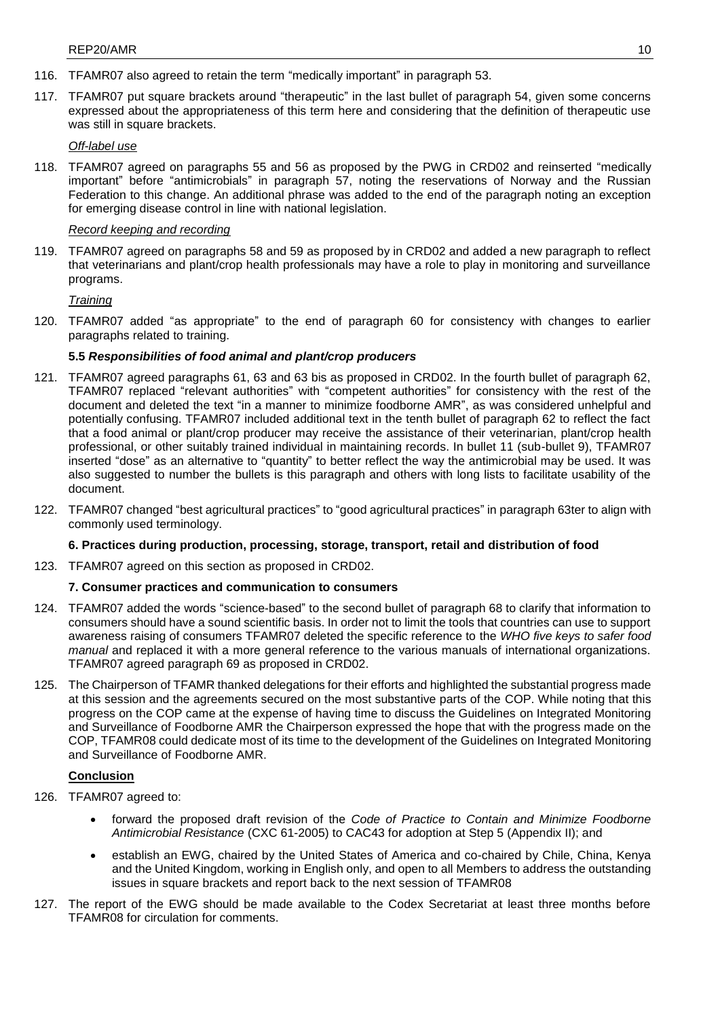- 116. TFAMR07 also agreed to retain the term "medically important" in paragraph 53.
- 117. TFAMR07 put square brackets around "therapeutic" in the last bullet of paragraph 54, given some concerns expressed about the appropriateness of this term here and considering that the definition of therapeutic use was still in square brackets.

## *Off-label use*

118. TFAMR07 agreed on paragraphs 55 and 56 as proposed by the PWG in CRD02 and reinserted "medically important" before "antimicrobials" in paragraph 57, noting the reservations of Norway and the Russian Federation to this change. An additional phrase was added to the end of the paragraph noting an exception for emerging disease control in line with national legislation.

# *Record keeping and recording*

119. TFAMR07 agreed on paragraphs 58 and 59 as proposed by in CRD02 and added a new paragraph to reflect that veterinarians and plant/crop health professionals may have a role to play in monitoring and surveillance programs.

*Training*

120. TFAMR07 added "as appropriate" to the end of paragraph 60 for consistency with changes to earlier paragraphs related to training.

# **5.5** *Responsibilities of food animal and plant/crop producers*

- 121. TFAMR07 agreed paragraphs 61, 63 and 63 bis as proposed in CRD02. In the fourth bullet of paragraph 62, TFAMR07 replaced "relevant authorities" with "competent authorities" for consistency with the rest of the document and deleted the text "in a manner to minimize foodborne AMR", as was considered unhelpful and potentially confusing. TFAMR07 included additional text in the tenth bullet of paragraph 62 to reflect the fact that a food animal or plant/crop producer may receive the assistance of their veterinarian, plant/crop health professional, or other suitably trained individual in maintaining records. In bullet 11 (sub-bullet 9), TFAMR07 inserted "dose" as an alternative to "quantity" to better reflect the way the antimicrobial may be used. It was also suggested to number the bullets is this paragraph and others with long lists to facilitate usability of the document.
- 122. TFAMR07 changed "best agricultural practices" to "good agricultural practices" in paragraph 63ter to align with commonly used terminology.

## **6. Practices during production, processing, storage, transport, retail and distribution of food**

123. TFAMR07 agreed on this section as proposed in CRD02.

## **7. Consumer practices and communication to consumers**

- 124. TFAMR07 added the words "science-based" to the second bullet of paragraph 68 to clarify that information to consumers should have a sound scientific basis. In order not to limit the tools that countries can use to support awareness raising of consumers TFAMR07 deleted the specific reference to the *WHO five keys to safer food manual* and replaced it with a more general reference to the various manuals of international organizations. TFAMR07 agreed paragraph 69 as proposed in CRD02.
- 125. The Chairperson of TFAMR thanked delegations for their efforts and highlighted the substantial progress made at this session and the agreements secured on the most substantive parts of the COP. While noting that this progress on the COP came at the expense of having time to discuss the Guidelines on Integrated Monitoring and Surveillance of Foodborne AMR the Chairperson expressed the hope that with the progress made on the COP, TFAMR08 could dedicate most of its time to the development of the Guidelines on Integrated Monitoring and Surveillance of Foodborne AMR.

## **Conclusion**

- 126. TFAMR07 agreed to:
	- forward the proposed draft revision of the *Code of Practice to Contain and Minimize Foodborne Antimicrobial Resistance* (CXC 61-2005) to CAC43 for adoption at Step 5 (Appendix II); and
	- establish an EWG, chaired by the United States of America and co-chaired by Chile, China, Kenya and the United Kingdom, working in English only, and open to all Members to address the outstanding issues in square brackets and report back to the next session of TFAMR08
- 127. The report of the EWG should be made available to the Codex Secretariat at least three months before TFAMR08 for circulation for comments.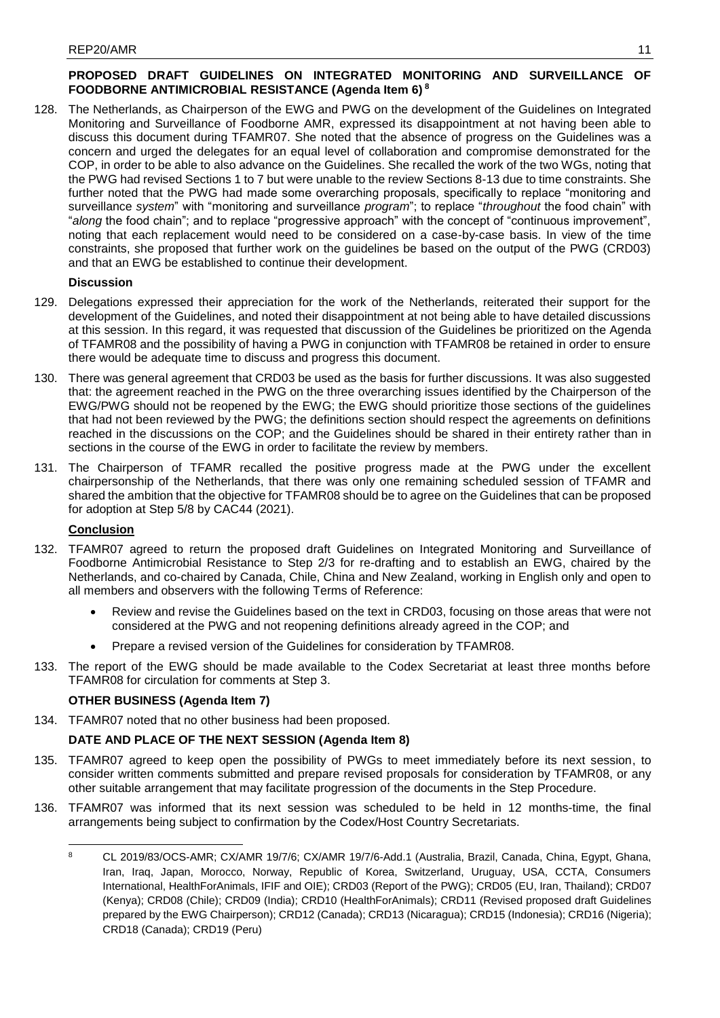# **PROPOSED DRAFT GUIDELINES ON INTEGRATED MONITORING AND SURVEILLANCE OF FOODBORNE ANTIMICROBIAL RESISTANCE (Agenda Item 6) <sup>8</sup>**

128. The Netherlands, as Chairperson of the EWG and PWG on the development of the Guidelines on Integrated Monitoring and Surveillance of Foodborne AMR, expressed its disappointment at not having been able to discuss this document during TFAMR07. She noted that the absence of progress on the Guidelines was a concern and urged the delegates for an equal level of collaboration and compromise demonstrated for the COP, in order to be able to also advance on the Guidelines. She recalled the work of the two WGs, noting that the PWG had revised Sections 1 to 7 but were unable to the review Sections 8-13 due to time constraints. She further noted that the PWG had made some overarching proposals, specifically to replace "monitoring and surveillance *system*" with "monitoring and surveillance *program*"; to replace "*throughout* the food chain" with "*along* the food chain"; and to replace "progressive approach" with the concept of "continuous improvement", noting that each replacement would need to be considered on a case-by-case basis. In view of the time constraints, she proposed that further work on the guidelines be based on the output of the PWG (CRD03) and that an EWG be established to continue their development.

# **Discussion**

- 129. Delegations expressed their appreciation for the work of the Netherlands, reiterated their support for the development of the Guidelines, and noted their disappointment at not being able to have detailed discussions at this session. In this regard, it was requested that discussion of the Guidelines be prioritized on the Agenda of TFAMR08 and the possibility of having a PWG in conjunction with TFAMR08 be retained in order to ensure there would be adequate time to discuss and progress this document.
- 130. There was general agreement that CRD03 be used as the basis for further discussions. It was also suggested that: the agreement reached in the PWG on the three overarching issues identified by the Chairperson of the EWG/PWG should not be reopened by the EWG; the EWG should prioritize those sections of the guidelines that had not been reviewed by the PWG; the definitions section should respect the agreements on definitions reached in the discussions on the COP; and the Guidelines should be shared in their entirety rather than in sections in the course of the EWG in order to facilitate the review by members.
- 131. The Chairperson of TFAMR recalled the positive progress made at the PWG under the excellent chairpersonship of the Netherlands, that there was only one remaining scheduled session of TFAMR and shared the ambition that the objective for TFAMR08 should be to agree on the Guidelines that can be proposed for adoption at Step 5/8 by CAC44 (2021).

# **Conclusion**

- 132. TFAMR07 agreed to return the proposed draft Guidelines on Integrated Monitoring and Surveillance of Foodborne Antimicrobial Resistance to Step 2/3 for re-drafting and to establish an EWG, chaired by the Netherlands, and co-chaired by Canada, Chile, China and New Zealand, working in English only and open to all members and observers with the following Terms of Reference:
	- Review and revise the Guidelines based on the text in CRD03, focusing on those areas that were not considered at the PWG and not reopening definitions already agreed in the COP; and
	- Prepare a revised version of the Guidelines for consideration by TFAMR08.
- 133. The report of the EWG should be made available to the Codex Secretariat at least three months before TFAMR08 for circulation for comments at Step 3.

# **OTHER BUSINESS (Agenda Item 7)**

134. TFAMR07 noted that no other business had been proposed.

# **DATE AND PLACE OF THE NEXT SESSION (Agenda Item 8)**

- 135. TFAMR07 agreed to keep open the possibility of PWGs to meet immediately before its next session, to consider written comments submitted and prepare revised proposals for consideration by TFAMR08, or any other suitable arrangement that may facilitate progression of the documents in the Step Procedure.
- 136. TFAMR07 was informed that its next session was scheduled to be held in 12 months-time, the final arrangements being subject to confirmation by the Codex/Host Country Secretariats.

 $\overline{8}$ <sup>8</sup> CL 2019/83/OCS-AMR; CX/AMR 19/7/6; CX/AMR 19/7/6-Add.1 (Australia, Brazil, Canada, China, Egypt, Ghana, Iran, Iraq, Japan, Morocco, Norway, Republic of Korea, Switzerland, Uruguay, USA, CCTA, Consumers International, HealthForAnimals, IFIF and OIE); CRD03 (Report of the PWG); CRD05 (EU, Iran, Thailand); CRD07 (Kenya); CRD08 (Chile); CRD09 (India); CRD10 (HealthForAnimals); CRD11 (Revised proposed draft Guidelines prepared by the EWG Chairperson); CRD12 (Canada); CRD13 (Nicaragua); CRD15 (Indonesia); CRD16 (Nigeria); CRD18 (Canada); CRD19 (Peru)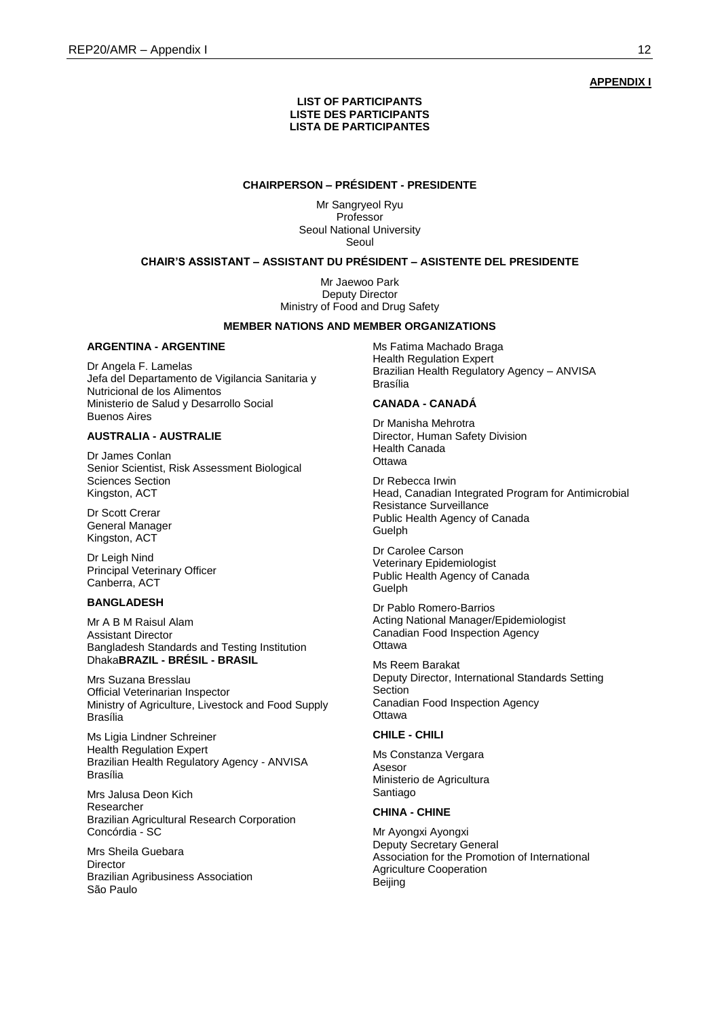**APPENDIX I**

#### **LIST OF PARTICIPANTS LISTE DES PARTICIPANTS LISTA DE PARTICIPANTES**

### **CHAIRPERSON – PRÉSIDENT - PRESIDENTE**

Mr Sangryeol Ryu Professor Seoul National University Seoul

### **CHAIR'S ASSISTANT – ASSISTANT DU PRÉSIDENT – ASISTENTE DEL PRESIDENTE**

Mr Jaewoo Park Deputy Director Ministry of Food and Drug Safety

#### **MEMBER NATIONS AND MEMBER ORGANIZATIONS**

#### **ARGENTINA - ARGENTINE**

Dr Angela F. Lamelas Jefa del Departamento de Vigilancia Sanitaria y Nutricional de los Alimentos Ministerio de Salud y Desarrollo Social Buenos Aires

## **AUSTRALIA - AUSTRALIE**

Dr James Conlan Senior Scientist, Risk Assessment Biological Sciences Section Kingston, ACT

Dr Scott Crerar General Manager Kingston, ACT

Dr Leigh Nind Principal Veterinary Officer Canberra, ACT

## **BANGLADESH**

Mr A B M Raisul Alam Assistant Director Bangladesh Standards and Testing Institution Dhaka**BRAZIL - BRÉSIL - BRASIL**

Mrs Suzana Bresslau Official Veterinarian Inspector Ministry of Agriculture, Livestock and Food Supply Brasília

Ms Ligia Lindner Schreiner Health Regulation Expert Brazilian Health Regulatory Agency - ANVISA Brasília

Mrs Jalusa Deon Kich Researcher Brazilian Agricultural Research Corporation Concórdia - SC

Mrs Sheila Guebara Director Brazilian Agribusiness Association São Paulo

Ms Fatima Machado Braga Health Regulation Expert Brazilian Health Regulatory Agency – ANVISA Brasília

### **CANADA - CANADÁ**

Dr Manisha Mehrotra Director, Human Safety Division Health Canada **Ottawa** 

Dr Rebecca Irwin Head, Canadian Integrated Program for Antimicrobial Resistance Surveillance Public Health Agency of Canada Guelph

Dr Carolee Carson Veterinary Epidemiologist Public Health Agency of Canada Guelph

Dr Pablo Romero-Barrios Acting National Manager/Epidemiologist Canadian Food Inspection Agency **Ottawa** 

Ms Reem Barakat Deputy Director, International Standards Setting Section Canadian Food Inspection Agency **Ottawa** 

### **CHILE - CHILI**

Ms Constanza Vergara Asesor Ministerio de Agricultura Santiago

#### **CHINA - CHINE**

Mr Ayongxi Ayongxi Deputy Secretary General Association for the Promotion of International Agriculture Cooperation **Beiling**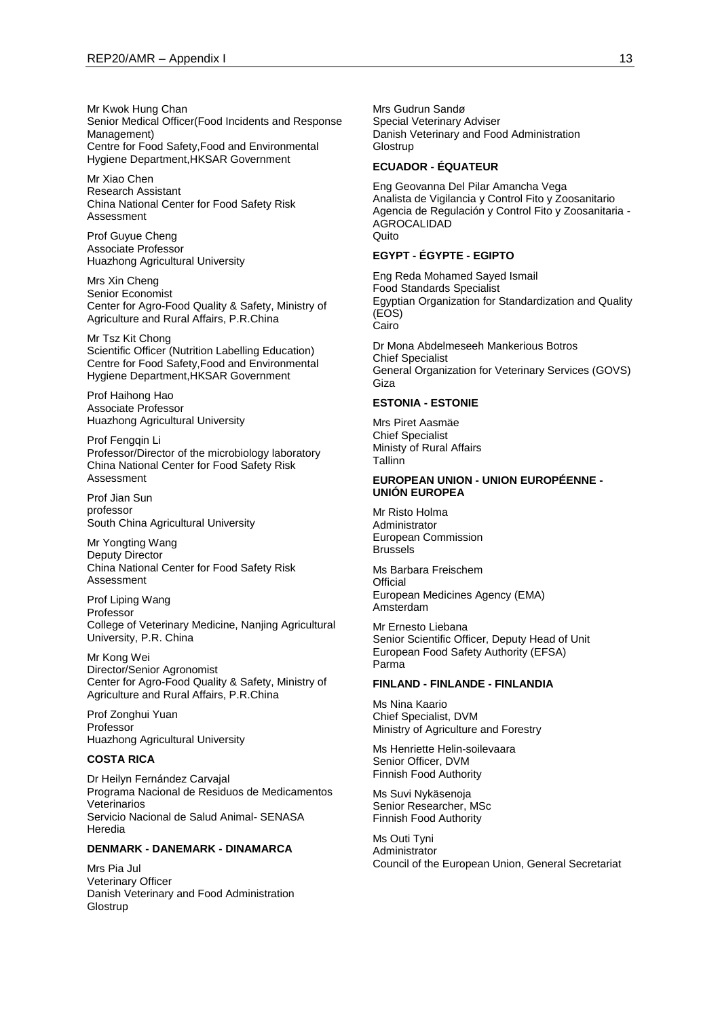Mr Kwok Hung Chan Senior Medical Officer(Food Incidents and Response Management) Centre for Food Safety,Food and Environmental Hygiene Department,HKSAR Government

Mr Xiao Chen Research Assistant China National Center for Food Safety Risk Assessment

Prof Guyue Cheng Associate Professor Huazhong Agricultural University

Mrs Xin Cheng Senior Economist Center for Agro-Food Quality & Safety, Ministry of Agriculture and Rural Affairs, P.R.China

Mr Tsz Kit Chong Scientific Officer (Nutrition Labelling Education) Centre for Food Safety,Food and Environmental Hygiene Department,HKSAR Government

Prof Haihong Hao Associate Professor Huazhong Agricultural University

Prof Fengqin Li Professor/Director of the microbiology laboratory China National Center for Food Safety Risk Assessment

Prof Jian Sun professor South China Agricultural University

Mr Yongting Wang Deputy Director China National Center for Food Safety Risk Assessment

Prof Liping Wang Professor College of Veterinary Medicine, Nanjing Agricultural University, P.R. China

Mr Kong Wei Director/Senior Agronomist Center for Agro-Food Quality & Safety, Ministry of Agriculture and Rural Affairs, P.R.China

Prof Zonghui Yuan Professor Huazhong Agricultural University

## **COSTA RICA**

Dr Heilyn Fernández Carvajal Programa Nacional de Residuos de Medicamentos Veterinarios Servicio Nacional de Salud Animal- SENASA Heredia

### **DENMARK - DANEMARK - DINAMARCA**

Mrs Pia Jul Veterinary Officer Danish Veterinary and Food Administration **Glostrup** 

Mrs Gudrun Sandø Special Veterinary Adviser Danish Veterinary and Food Administration **Glostrup** 

### **ECUADOR - ÉQUATEUR**

Eng Geovanna Del Pilar Amancha Vega Analista de Vigilancia y Control Fito y Zoosanitario Agencia de Regulación y Control Fito y Zoosanitaria - AGROCALIDAD Quito

#### **EGYPT - ÉGYPTE - EGIPTO**

Eng Reda Mohamed Sayed Ismail Food Standards Specialist Egyptian Organization for Standardization and Quality (EOS) Cairo

Dr Mona Abdelmeseeh Mankerious Botros Chief Specialist General Organization for Veterinary Services (GOVS) Giza

#### **ESTONIA - ESTONIE**

Mrs Piret Aasmäe Chief Specialist Ministy of Rural Affairs Tallinn

#### **EUROPEAN UNION - UNION EUROPÉENNE - UNIÓN EUROPEA**

Mr Risto Holma Administrator European Commission Brussels

Ms Barbara Freischem **Official** European Medicines Agency (EMA) Amsterdam

Mr Ernesto Liebana Senior Scientific Officer, Deputy Head of Unit European Food Safety Authority (EFSA) Parma

#### **FINLAND - FINLANDE - FINLANDIA**

Ms Nina Kaario Chief Specialist, DVM Ministry of Agriculture and Forestry

Ms Henriette Helin-soilevaara Senior Officer, DVM Finnish Food Authority

Ms Suvi Nykäsenoja Senior Researcher, MSc Finnish Food Authority

Ms Outi Tyni Administrator Council of the European Union, General Secretariat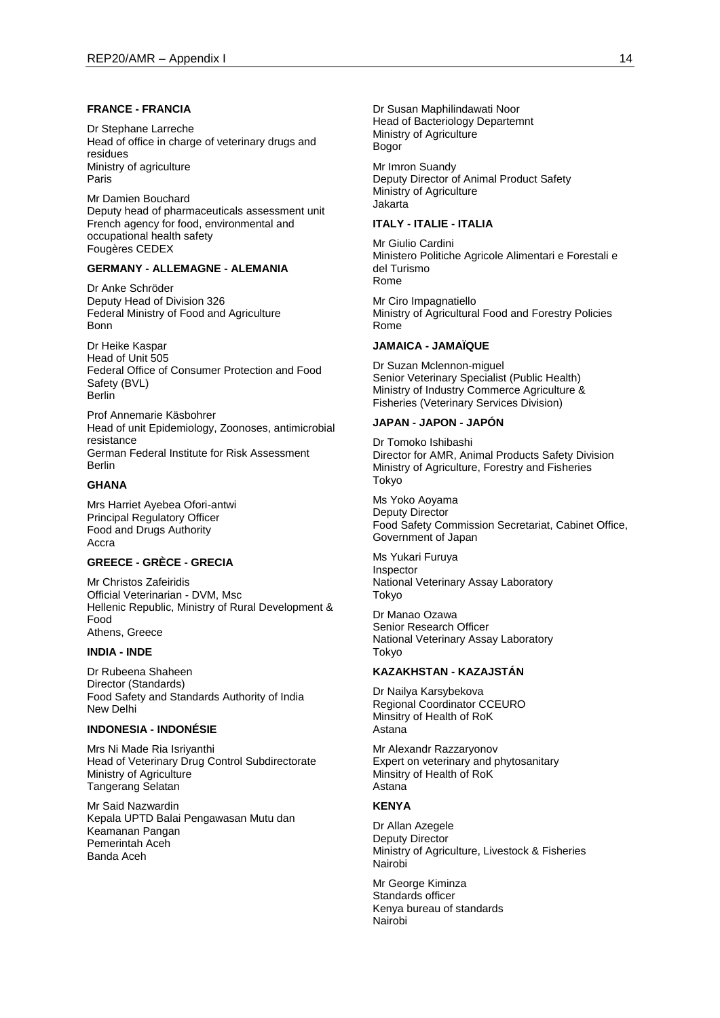#### **FRANCE - FRANCIA**

Dr Stephane Larreche Head of office in charge of veterinary drugs and residues Ministry of agriculture Paris

Mr Damien Bouchard Deputy head of pharmaceuticals assessment unit French agency for food, environmental and occupational health safety Fougères CEDEX

#### **GERMANY - ALLEMAGNE - ALEMANIA**

Dr Anke Schröder Deputy Head of Division 326 Federal Ministry of Food and Agriculture Bonn

Dr Heike Kaspar Head of Unit 505 Federal Office of Consumer Protection and Food Safety (BVL) Berlin

Prof Annemarie Käsbohrer Head of unit Epidemiology, Zoonoses, antimicrobial resistance German Federal Institute for Risk Assessment Berlin

#### **GHANA**

Mrs Harriet Ayebea Ofori-antwi Principal Regulatory Officer Food and Drugs Authority Accra

# **GREECE - GRÈCE - GRECIA**

Mr Christos Zafeiridis Official Veterinarian - DVM, Msc Hellenic Republic, Ministry of Rural Development & Food Athens, Greece

#### **INDIA - INDE**

Dr Rubeena Shaheen Director (Standards) Food Safety and Standards Authority of India New Delhi

#### **INDONESIA - INDONÉSIE**

Mrs Ni Made Ria Isriyanthi Head of Veterinary Drug Control Subdirectorate Ministry of Agriculture Tangerang Selatan

Mr Said Nazwardin Kepala UPTD Balai Pengawasan Mutu dan Keamanan Pangan Pemerintah Aceh Banda Aceh

Dr Susan Maphilindawati Noor Head of Bacteriology Departemnt Ministry of Agriculture Bogor

Mr Imron Suandy Deputy Director of Animal Product Safety Ministry of Agriculture Jakarta

### **ITALY - ITALIE - ITALIA**

Mr Giulio Cardini Ministero Politiche Agricole Alimentari e Forestali e del Turismo Rome

Mr Ciro Impagnatiello Ministry of Agricultural Food and Forestry Policies Rome

#### **JAMAICA - JAMAÏQUE**

Dr Suzan Mclennon-miguel Senior Veterinary Specialist (Public Health) Ministry of Industry Commerce Agriculture & Fisheries (Veterinary Services Division)

#### **JAPAN - JAPON - JAPÓN**

Dr Tomoko Ishibashi Director for AMR, Animal Products Safety Division Ministry of Agriculture, Forestry and Fisheries Tokyo

Ms Yoko Aoyama Deputy Director Food Safety Commission Secretariat, Cabinet Office, Government of Japan

Ms Yukari Furuya Inspector National Veterinary Assay Laboratory Tokyo

Dr Manao Ozawa Senior Research Officer National Veterinary Assay Laboratory Tokyo

### **KAZAKHSTAN - KAZAJSTÁN**

Dr Nailya Karsybekova Regional Coordinator CCEURO Minsitry of Health of RoK Astana

Mr Alexandr Razzaryonov Expert on veterinary and phytosanitary Minsitry of Health of RoK Astana

#### **KENYA**

Dr Allan Azegele Deputy Director Ministry of Agriculture, Livestock & Fisheries Nairobi

Mr George Kiminza Standards officer Kenya bureau of standards Nairobi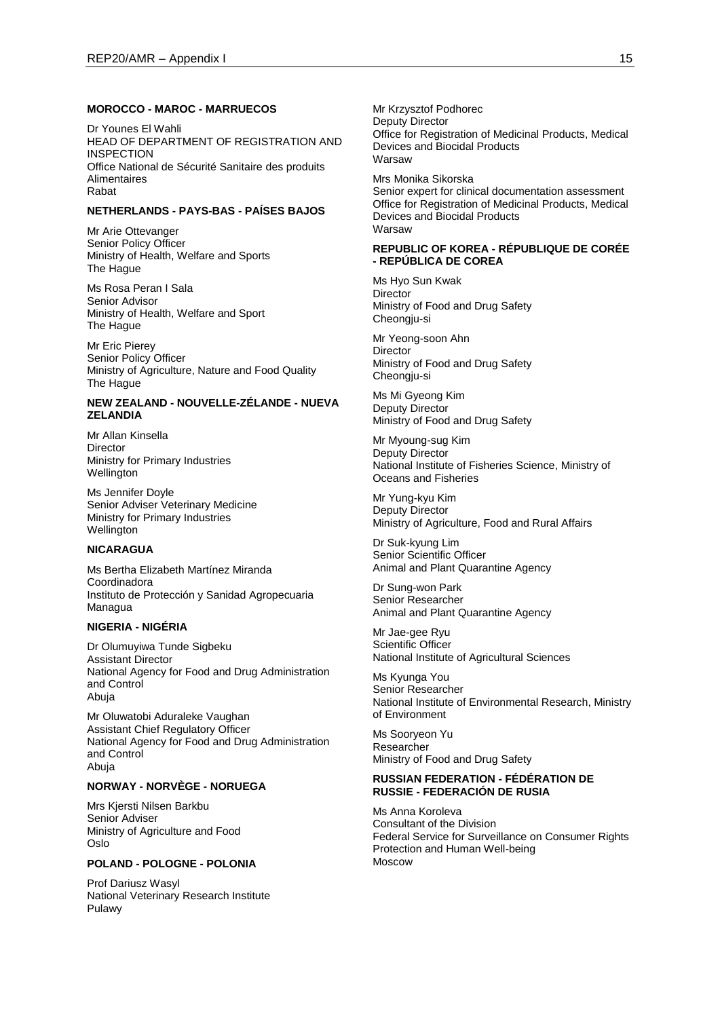#### **MOROCCO - MAROC - MARRUECOS**

Dr Younes El Wahli HEAD OF DEPARTMENT OF REGISTRATION AND **INSPECTION** Office National de Sécurité Sanitaire des produits Alimentaires Rabat

## **NETHERLANDS - PAYS-BAS - PAÍSES BAJOS**

Mr Arie Ottevanger Senior Policy Officer Ministry of Health, Welfare and Sports The Hague

Ms Rosa Peran I Sala Senior Advisor Ministry of Health, Welfare and Sport The Hague

Mr Eric Pierey Senior Policy Officer Ministry of Agriculture, Nature and Food Quality The Hague

### **NEW ZEALAND - NOUVELLE-ZÉLANDE - NUEVA ZELANDIA**

Mr Allan Kinsella Director Ministry for Primary Industries Wellington

Ms Jennifer Doyle Senior Adviser Veterinary Medicine Ministry for Primary Industries Wellington

### **NICARAGUA**

Ms Bertha Elizabeth Martínez Miranda Coordinadora Instituto de Protección y Sanidad Agropecuaria Managua

#### **NIGERIA - NIGÉRIA**

Dr Olumuyiwa Tunde Sigbeku Assistant Director National Agency for Food and Drug Administration and Control Abuja

Mr Oluwatobi Aduraleke Vaughan Assistant Chief Regulatory Officer National Agency for Food and Drug Administration and Control Abuja

#### **NORWAY - NORVÈGE - NORUEGA**

Mrs Kjersti Nilsen Barkbu Senior Adviser Ministry of Agriculture and Food Oslo

#### **POLAND - POLOGNE - POLONIA**

Prof Dariusz Wasyl National Veterinary Research Institute Pulawy

Mr Krzysztof Podhorec Deputy Director Office for Registration of Medicinal Products, Medical Devices and Biocidal Products Warsaw

Mrs Monika Sikorska Senior expert for clinical documentation assessment Office for Registration of Medicinal Products, Medical Devices and Biocidal Products **Warsaw** 

#### **REPUBLIC OF KOREA - RÉPUBLIQUE DE CORÉE - REPÚBLICA DE COREA**

Ms Hyo Sun Kwak Director Ministry of Food and Drug Safety Cheongju-si

Mr Yeong-soon Ahn Director Ministry of Food and Drug Safety Cheongju-si

Ms Mi Gyeong Kim Deputy Director Ministry of Food and Drug Safety

Mr Myoung-sug Kim Deputy Director National Institute of Fisheries Science, Ministry of Oceans and Fisheries

Mr Yung-kyu Kim Deputy Director Ministry of Agriculture, Food and Rural Affairs

Dr Suk-kyung Lim Senior Scientific Officer Animal and Plant Quarantine Agency

Dr Sung-won Park Senior Researcher Animal and Plant Quarantine Agency

Mr Jae-gee Ryu Scientific Officer National Institute of Agricultural Sciences

Ms Kyunga You Senior Researcher National Institute of Environmental Research, Ministry of Environment

Ms Sooryeon Yu Researcher Ministry of Food and Drug Safety

### **RUSSIAN FEDERATION - FÉDÉRATION DE RUSSIE - FEDERACIÓN DE RUSIA**

Ms Anna Koroleva Consultant of the Division Federal Service for Surveillance on Consumer Rights Protection and Human Well-being Moscow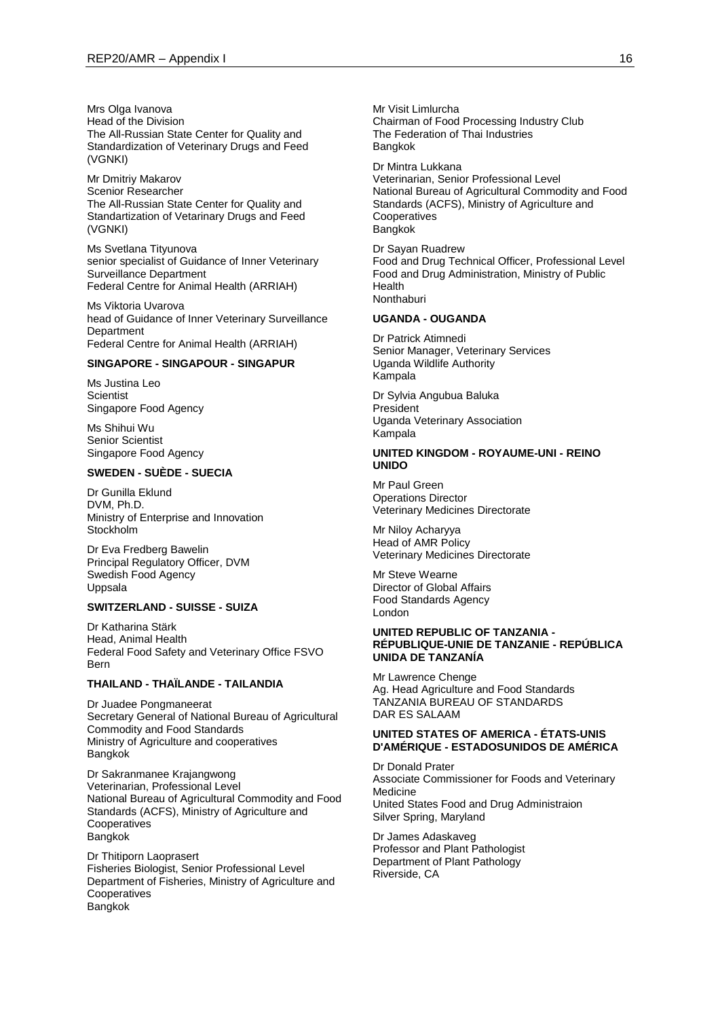Mrs Olga Ivanova Head of the Division The All-Russian State Center for Quality and Standardization of Veterinary Drugs and Feed (VGNKI)

Mr Dmitriy Makarov Scenior Researcher The All-Russian State Center for Quality and Standartization of Vetarinary Drugs and Feed (VGNKI)

Ms Svetlana Tityunova senior specialist of Guidance of Inner Veterinary Surveillance Department Federal Centre for Animal Health (ARRIAH)

Ms Viktoria Uvarova head of Guidance of Inner Veterinary Surveillance Department Federal Centre for Animal Health (ARRIAH)

## **SINGAPORE - SINGAPOUR - SINGAPUR**

Ms Justina Leo **Scientist** Singapore Food Agency

Ms Shihui Wu Senior Scientist Singapore Food Agency

### **SWEDEN - SUÈDE - SUECIA**

Dr Gunilla Eklund DVM, Ph.D. Ministry of Enterprise and Innovation Stockholm

Dr Eva Fredberg Bawelin Principal Regulatory Officer, DVM Swedish Food Agency Uppsala

#### **SWITZERLAND - SUISSE - SUIZA**

Dr Katharina Stärk Head, Animal Health Federal Food Safety and Veterinary Office FSVO Bern

#### **THAILAND - THAÏLANDE - TAILANDIA**

Dr Juadee Pongmaneerat Secretary General of National Bureau of Agricultural Commodity and Food Standards Ministry of Agriculture and cooperatives Bangkok

Dr Sakranmanee Krajangwong Veterinarian, Professional Level National Bureau of Agricultural Commodity and Food Standards (ACFS), Ministry of Agriculture and Cooperatives Bangkok

Dr Thitiporn Laoprasert Fisheries Biologist, Senior Professional Level Department of Fisheries, Ministry of Agriculture and **Cooperatives** Bangkok

Mr Visit Limlurcha Chairman of Food Processing Industry Club The Federation of Thai Industries Bangkok

Dr Mintra Lukkana Veterinarian, Senior Professional Level National Bureau of Agricultural Commodity and Food Standards (ACFS), Ministry of Agriculture and Cooperatives Bangkok

Dr Sayan Ruadrew Food and Drug Technical Officer, Professional Level Food and Drug Administration, Ministry of Public Health **Nonthaburi** 

#### **UGANDA - OUGANDA**

Dr Patrick Atimnedi Senior Manager, Veterinary Services Uganda Wildlife Authority Kampala

Dr Sylvia Angubua Baluka President Uganda Veterinary Association Kampala

#### **UNITED KINGDOM - ROYAUME-UNI - REINO UNIDO**

Mr Paul Green Operations Director Veterinary Medicines Directorate

Mr Niloy Acharyya Head of AMR Policy Veterinary Medicines Directorate

Mr Steve Wearne Director of Global Affairs Food Standards Agency London

#### **UNITED REPUBLIC OF TANZANIA - RÉPUBLIQUE-UNIE DE TANZANIE - REPÚBLICA UNIDA DE TANZANÍA**

Mr Lawrence Chenge Ag. Head Agriculture and Food Standards TANZANIA BUREAU OF STANDARDS DAR ES SALAAM

#### **UNITED STATES OF AMERICA - ÉTATS-UNIS D'AMÉRIQUE - ESTADOSUNIDOS DE AMÉRICA**

Dr Donald Prater Associate Commissioner for Foods and Veterinary Medicine United States Food and Drug Administraion Silver Spring, Maryland

Dr James Adaskaveg Professor and Plant Pathologist Department of Plant Pathology Riverside, CA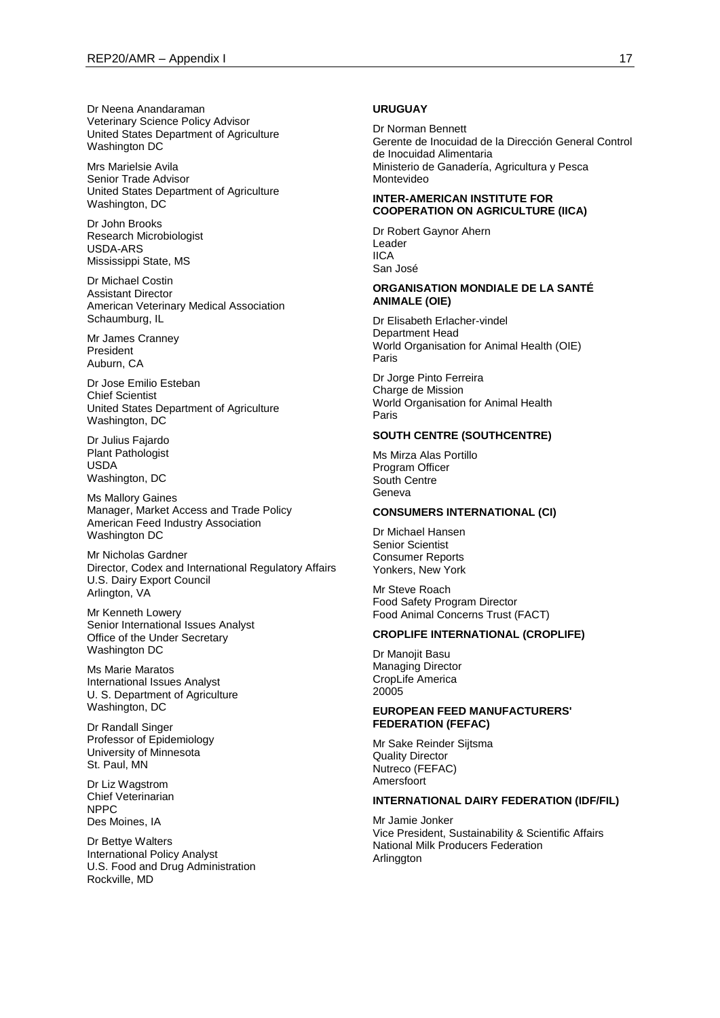Dr Neena Anandaraman Veterinary Science Policy Advisor United States Department of Agriculture Washington DC

Mrs Marielsie Avila Senior Trade Advisor United States Department of Agriculture Washington, DC

Dr John Brooks Research Microbiologist USDA-ARS Mississippi State, MS

Dr Michael Costin Assistant Director American Veterinary Medical Association Schaumburg, IL

Mr James Cranney President Auburn, CA

Dr Jose Emilio Esteban Chief Scientist United States Department of Agriculture Washington, DC

Dr Julius Fajardo Plant Pathologist USDA Washington, DC

Ms Mallory Gaines Manager, Market Access and Trade Policy American Feed Industry Association Washington DC

Mr Nicholas Gardner Director, Codex and International Regulatory Affairs U.S. Dairy Export Council Arlington, VA

Mr Kenneth Lowery Senior International Issues Analyst Office of the Under Secretary Washington DC

Ms Marie Maratos International Issues Analyst U. S. Department of Agriculture Washington, DC

Dr Randall Singer Professor of Epidemiology University of Minnesota St. Paul, MN

Dr Liz Wagstrom Chief Veterinarian NPPC Des Moines, IA

Dr Bettye Walters International Policy Analyst U.S. Food and Drug Administration Rockville, MD

#### **URUGUAY**

Dr Norman Bennett Gerente de Inocuidad de la Dirección General Control de Inocuidad Alimentaria Ministerio de Ganadería, Agricultura y Pesca Montevideo

### **INTER-AMERICAN INSTITUTE FOR COOPERATION ON AGRICULTURE (IICA)**

Dr Robert Gaynor Ahern Leader IICA San José

#### **ORGANISATION MONDIALE DE LA SANTÉ ANIMALE (OIE)**

Dr Elisabeth Erlacher-vindel Department Head World Organisation for Animal Health (OIE) Paris

Dr Jorge Pinto Ferreira Charge de Mission World Organisation for Animal Health Paris

### **SOUTH CENTRE (SOUTHCENTRE)**

Ms Mirza Alas Portillo Program Officer South Centre Geneva

#### **CONSUMERS INTERNATIONAL (CI)**

Dr Michael Hansen Senior Scientist Consumer Reports Yonkers, New York

Mr Steve Roach Food Safety Program Director Food Animal Concerns Trust (FACT)

#### **CROPLIFE INTERNATIONAL (CROPLIFE)**

Dr Manojit Basu Managing Director CropLife America 20005

### **EUROPEAN FEED MANUFACTURERS' FEDERATION (FEFAC)**

Mr Sake Reinder Sijtsma Quality Director Nutreco (FEFAC) Amersfoort

#### **INTERNATIONAL DAIRY FEDERATION (IDF/FIL)**

Mr Jamie Jonker Vice President, Sustainability & Scientific Affairs National Milk Producers Federation Arlinggton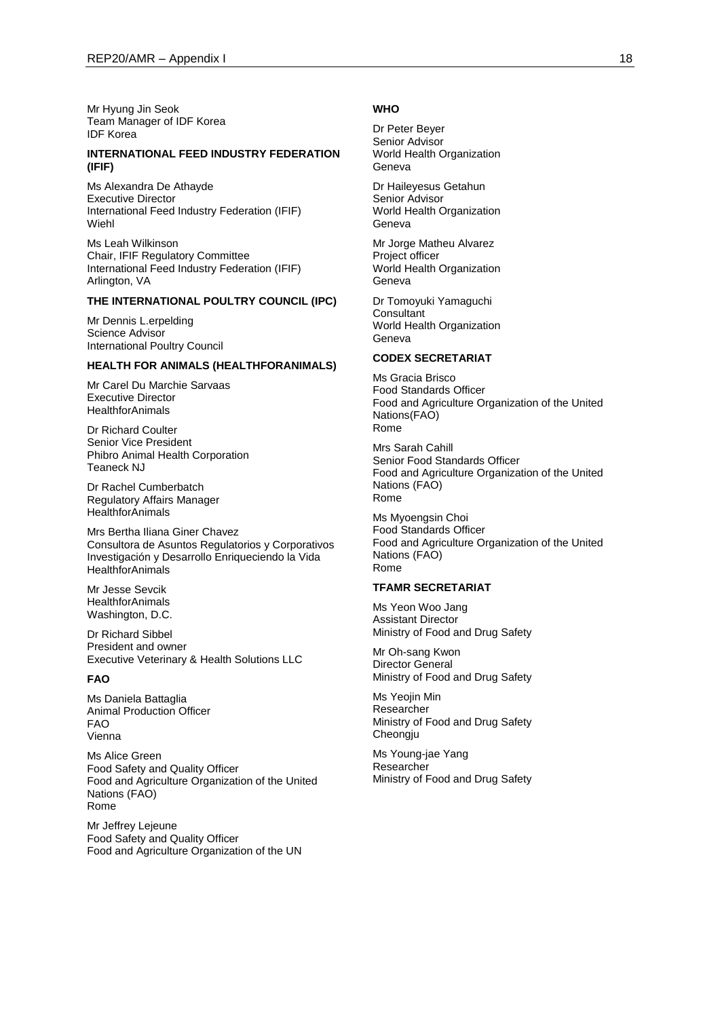Mr Hyung Jin Seok Team Manager of IDF Korea IDF Korea

#### **INTERNATIONAL FEED INDUSTRY FEDERATION (IFIF)**

Ms Alexandra De Athayde Executive Director International Feed Industry Federation (IFIF) Wiehl

Ms Leah Wilkinson Chair, IFIF Regulatory Committee International Feed Industry Federation (IFIF) Arlington, VA

#### **THE INTERNATIONAL POULTRY COUNCIL (IPC)**

Mr Dennis L.erpelding Science Advisor International Poultry Council

#### **HEALTH FOR ANIMALS (HEALTHFORANIMALS)**

Mr Carel Du Marchie Sarvaas Executive Director **HealthforAnimals** 

Dr Richard Coulter Senior Vice President Phibro Animal Health Corporation Teaneck NJ

Dr Rachel Cumberbatch Regulatory Affairs Manager HealthforAnimals

Mrs Bertha Iliana Giner Chavez Consultora de Asuntos Regulatorios y Corporativos Investigación y Desarrollo Enriqueciendo la Vida **HealthforAnimals** 

Mr Jesse Sevcik **HealthforAnimals** Washington, D.C.

Dr Richard Sibbel President and owner Executive Veterinary & Health Solutions LLC

#### **FAO**

Ms Daniela Battaglia Animal Production Officer FAO Vienna

Ms Alice Green Food Safety and Quality Officer Food and Agriculture Organization of the United Nations (FAO) Rome

Mr Jeffrey Lejeune Food Safety and Quality Officer Food and Agriculture Organization of the UN

#### **WHO**

Dr Peter Beyer Senior Advisor World Health Organization Geneva

Dr Haileyesus Getahun Senior Advisor World Health Organization Geneva

Mr Jorge Matheu Alvarez Project officer World Health Organization Geneva

Dr Tomoyuki Yamaguchi **Consultant** World Health Organization Geneva

### **CODEX SECRETARIAT**

Ms Gracia Brisco Food Standards Officer Food and Agriculture Organization of the United Nations(FAO) Rome

Mrs Sarah Cahill Senior Food Standards Officer Food and Agriculture Organization of the United Nations (FAO) Rome

Ms Myoengsin Choi Food Standards Officer Food and Agriculture Organization of the United Nations (FAO) Rome

### **TFAMR SECRETARIAT**

Ms Yeon Woo Jang Assistant Director Ministry of Food and Drug Safety

Mr Oh-sang Kwon Director General Ministry of Food and Drug Safety

Ms Yeojin Min Researcher Ministry of Food and Drug Safety Cheongju

Ms Young-jae Yang Researcher Ministry of Food and Drug Safety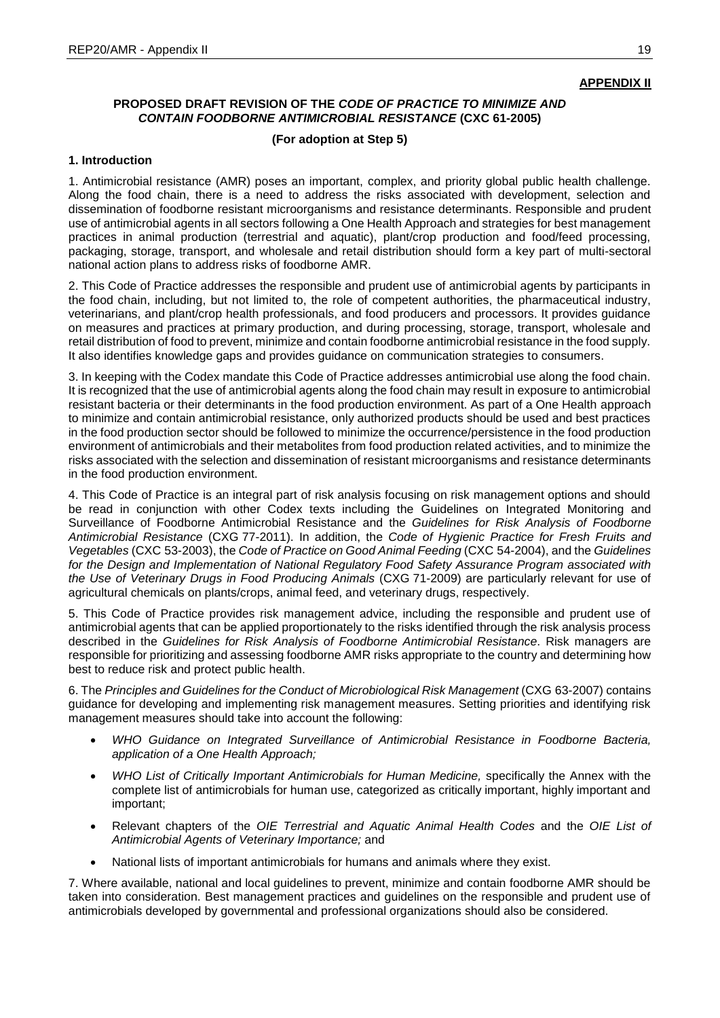# **APPENDIX II**

# **PROPOSED DRAFT REVISION OF THE** *CODE OF PRACTICE TO MINIMIZE AND CONTAIN FOODBORNE ANTIMICROBIAL RESISTANCE* **(CXC 61-2005)**

## **(For adoption at Step 5)**

## **1. Introduction**

1. Antimicrobial resistance (AMR) poses an important, complex, and priority global public health challenge. Along the food chain, there is a need to address the risks associated with development, selection and dissemination of foodborne resistant microorganisms and resistance determinants. Responsible and prudent use of antimicrobial agents in all sectors following a One Health Approach and strategies for best management practices in animal production (terrestrial and aquatic), plant/crop production and food/feed processing, packaging, storage, transport, and wholesale and retail distribution should form a key part of multi-sectoral national action plans to address risks of foodborne AMR.

2. This Code of Practice addresses the responsible and prudent use of antimicrobial agents by participants in the food chain, including, but not limited to, the role of competent authorities, the pharmaceutical industry, veterinarians, and plant/crop health professionals, and food producers and processors. It provides guidance on measures and practices at primary production, and during processing, storage, transport, wholesale and retail distribution of food to prevent, minimize and contain foodborne antimicrobial resistance in the food supply. It also identifies knowledge gaps and provides guidance on communication strategies to consumers.

3. In keeping with the Codex mandate this Code of Practice addresses antimicrobial use along the food chain. It is recognized that the use of antimicrobial agents along the food chain may result in exposure to antimicrobial resistant bacteria or their determinants in the food production environment. As part of a One Health approach to minimize and contain antimicrobial resistance, only authorized products should be used and best practices in the food production sector should be followed to minimize the occurrence/persistence in the food production environment of antimicrobials and their metabolites from food production related activities, and to minimize the risks associated with the selection and dissemination of resistant microorganisms and resistance determinants in the food production environment.

4. This Code of Practice is an integral part of risk analysis focusing on risk management options and should be read in conjunction with other Codex texts including the Guidelines on Integrated Monitoring and Surveillance of Foodborne Antimicrobial Resistance and the *Guidelines for Risk Analysis of Foodborne Antimicrobial Resistance* (CXG 77-2011). In addition, the *Code of Hygienic Practice for Fresh Fruits and Vegetables* (CXC 53-2003), the *Code of Practice on Good Animal Feeding* (CXC 54-2004), and the *Guidelines for the Design and Implementation of National Regulatory Food Safety Assurance Program associated with the Use of Veterinary Drugs in Food Producing Animals* (CXG 71-2009) are particularly relevant for use of agricultural chemicals on plants/crops, animal feed, and veterinary drugs, respectively.

5. This Code of Practice provides risk management advice, including the responsible and prudent use of antimicrobial agents that can be applied proportionately to the risks identified through the risk analysis process described in the *Guidelines for Risk Analysis of Foodborne Antimicrobial Resistance*. Risk managers are responsible for prioritizing and assessing foodborne AMR risks appropriate to the country and determining how best to reduce risk and protect public health.

6. The *Principles and Guidelines for the Conduct of Microbiological Risk Management* (CXG 63-2007) contains guidance for developing and implementing risk management measures. Setting priorities and identifying risk management measures should take into account the following:

- *WHO Guidance on Integrated Surveillance of Antimicrobial Resistance in Foodborne Bacteria, application of a One Health Approach;*
- *WHO List of Critically Important Antimicrobials for Human Medicine,* specifically the Annex with the complete list of antimicrobials for human use, categorized as critically important, highly important and important;
- Relevant chapters of the *OIE Terrestrial and Aquatic Animal Health Codes* and the *OIE List of Antimicrobial Agents of Veterinary Importance;* and
- National lists of important antimicrobials for humans and animals where they exist.

7. Where available, national and local guidelines to prevent, minimize and contain foodborne AMR should be taken into consideration. Best management practices and guidelines on the responsible and prudent use of antimicrobials developed by governmental and professional organizations should also be considered.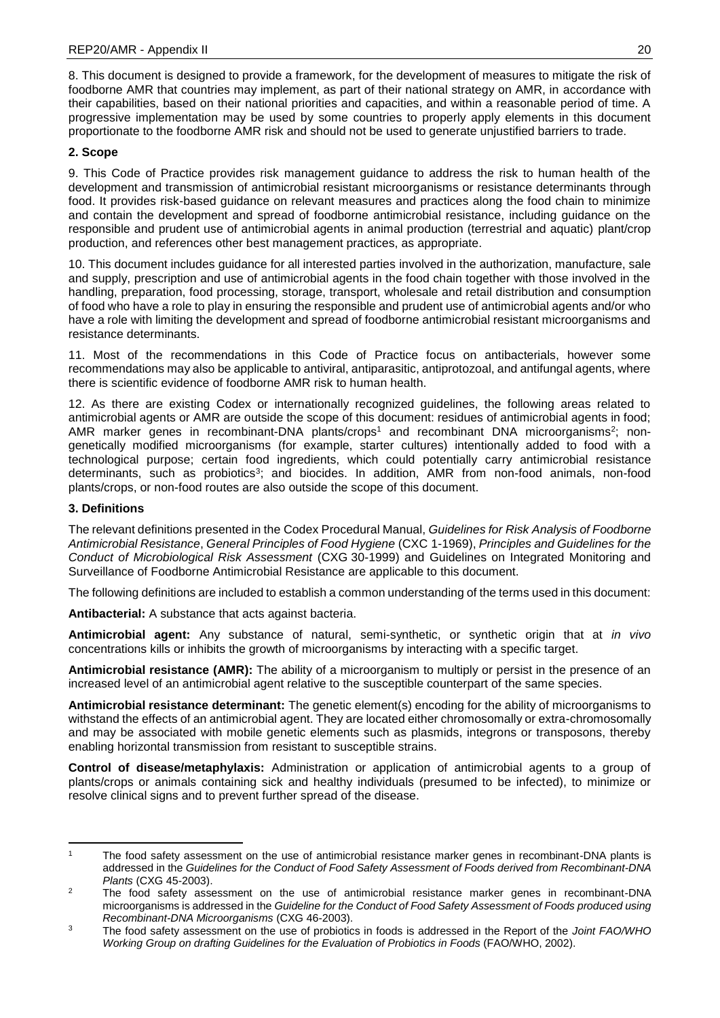8. This document is designed to provide a framework, for the development of measures to mitigate the risk of foodborne AMR that countries may implement, as part of their national strategy on AMR, in accordance with their capabilities, based on their national priorities and capacities, and within a reasonable period of time. A progressive implementation may be used by some countries to properly apply elements in this document proportionate to the foodborne AMR risk and should not be used to generate unjustified barriers to trade.

# **2. Scope**

9. This Code of Practice provides risk management guidance to address the risk to human health of the development and transmission of antimicrobial resistant microorganisms or resistance determinants through food. It provides risk-based guidance on relevant measures and practices along the food chain to minimize and contain the development and spread of foodborne antimicrobial resistance, including guidance on the responsible and prudent use of antimicrobial agents in animal production (terrestrial and aquatic) plant/crop production, and references other best management practices, as appropriate.

10. This document includes guidance for all interested parties involved in the authorization, manufacture, sale and supply, prescription and use of antimicrobial agents in the food chain together with those involved in the handling, preparation, food processing, storage, transport, wholesale and retail distribution and consumption of food who have a role to play in ensuring the responsible and prudent use of antimicrobial agents and/or who have a role with limiting the development and spread of foodborne antimicrobial resistant microorganisms and resistance determinants.

11. Most of the recommendations in this Code of Practice focus on antibacterials, however some recommendations may also be applicable to antiviral, antiparasitic, antiprotozoal, and antifungal agents, where there is scientific evidence of foodborne AMR risk to human health.

12. As there are existing Codex or internationally recognized guidelines, the following areas related to antimicrobial agents or AMR are outside the scope of this document: residues of antimicrobial agents in food; AMR marker genes in recombinant-DNA plants/crops<sup>1</sup> and recombinant DNA microorganisms<sup>2</sup>; nongenetically modified microorganisms (for example, starter cultures) intentionally added to food with a technological purpose; certain food ingredients, which could potentially carry antimicrobial resistance determinants, such as probiotics<sup>3</sup>; and biocides. In addition, AMR from non-food animals, non-food plants/crops, or non-food routes are also outside the scope of this document.

## **3. Definitions**

The relevant definitions presented in the Codex Procedural Manual, *Guidelines for Risk Analysis of Foodborne Antimicrobial Resistance*, *General Principles of Food Hygiene* (CXC 1-1969), *Principles and Guidelines for the Conduct of Microbiological Risk Assessment* (CXG 30-1999) and Guidelines on Integrated Monitoring and Surveillance of Foodborne Antimicrobial Resistance are applicable to this document.

The following definitions are included to establish a common understanding of the terms used in this document:

**Antibacterial:** A substance that acts against bacteria.

**Antimicrobial agent:** Any substance of natural, semi-synthetic, or synthetic origin that at *in vivo* concentrations kills or inhibits the growth of microorganisms by interacting with a specific target.

**Antimicrobial resistance (AMR):** The ability of a microorganism to multiply or persist in the presence of an increased level of an antimicrobial agent relative to the susceptible counterpart of the same species.

**Antimicrobial resistance determinant:** The genetic element(s) encoding for the ability of microorganisms to withstand the effects of an antimicrobial agent. They are located either chromosomally or extra-chromosomally and may be associated with mobile genetic elements such as plasmids, integrons or transposons, thereby enabling horizontal transmission from resistant to susceptible strains.

**Control of disease/metaphylaxis:** Administration or application of antimicrobial agents to a group of plants/crops or animals containing sick and healthy individuals (presumed to be infected), to minimize or resolve clinical signs and to prevent further spread of the disease.

 $\overline{1}$ The food safety assessment on the use of antimicrobial resistance marker genes in recombinant-DNA plants is addressed in the *Guidelines for the Conduct of Food Safety Assessment of Foods derived from Recombinant-DNA Plants* (CXG 45-2003).

<sup>&</sup>lt;sup>2</sup> The food safety assessment on the use of antimicrobial resistance marker genes in recombinant-DNA microorganisms is addressed in the *Guideline for the Conduct of Food Safety Assessment of Foods produced using Recombinant-DNA Microorganisms* (CXG 46-2003).

<sup>3</sup> The food safety assessment on the use of probiotics in foods is addressed in the Report of the *Joint FAO/WHO Working Group on drafting Guidelines for the Evaluation of Probiotics in Foods* (FAO/WHO, 2002).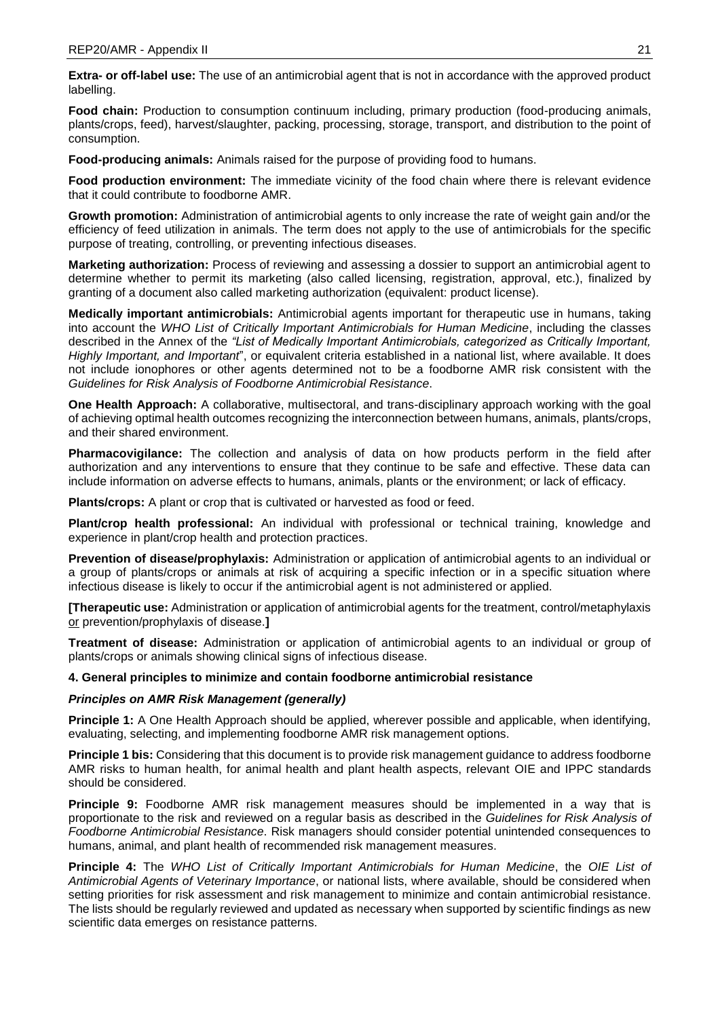**Extra- or off-label use:** The use of an antimicrobial agent that is not in accordance with the approved product labelling.

Food chain: Production to consumption continuum including, primary production (food-producing animals, plants/crops, feed), harvest/slaughter, packing, processing, storage, transport, and distribution to the point of consumption.

**Food-producing animals:** Animals raised for the purpose of providing food to humans.

**Food production environment:** The immediate vicinity of the food chain where there is relevant evidence that it could contribute to foodborne AMR.

**Growth promotion:** Administration of antimicrobial agents to only increase the rate of weight gain and/or the efficiency of feed utilization in animals. The term does not apply to the use of antimicrobials for the specific purpose of treating, controlling, or preventing infectious diseases.

**Marketing authorization:** Process of reviewing and assessing a dossier to support an antimicrobial agent to determine whether to permit its marketing (also called licensing, registration, approval, etc.), finalized by granting of a document also called marketing authorization (equivalent: product license).

**Medically important antimicrobials:** Antimicrobial agents important for therapeutic use in humans, taking into account the *WHO List of Critically Important Antimicrobials for Human Medicine*, including the classes described in the Annex of the *"List of Medically Important Antimicrobials, categorized as Critically Important, Highly Important, and Important*", or equivalent criteria established in a national list, where available. It does not include ionophores or other agents determined not to be a foodborne AMR risk consistent with the *Guidelines for Risk Analysis of Foodborne Antimicrobial Resistance*.

**One Health Approach:** A collaborative, multisectoral, and trans-disciplinary approach working with the goal of achieving optimal health outcomes recognizing the interconnection between humans, animals, plants/crops, and their shared environment.

**Pharmacovigilance:** The collection and analysis of data on how products perform in the field after authorization and any interventions to ensure that they continue to be safe and effective. These data can include information on adverse effects to humans, animals, plants or the environment; or lack of efficacy.

**Plants/crops:** A plant or crop that is cultivated or harvested as food or feed.

**Plant/crop health professional:** An individual with professional or technical training, knowledge and experience in plant/crop health and protection practices.

**Prevention of disease/prophylaxis:** Administration or application of antimicrobial agents to an individual or a group of plants/crops or animals at risk of acquiring a specific infection or in a specific situation where infectious disease is likely to occur if the antimicrobial agent is not administered or applied.

**[Therapeutic use:** Administration or application of antimicrobial agents for the treatment, control/metaphylaxis or prevention/prophylaxis of disease.**]**

**Treatment of disease:** Administration or application of antimicrobial agents to an individual or group of plants/crops or animals showing clinical signs of infectious disease.

## **4. General principles to minimize and contain foodborne antimicrobial resistance**

# *Principles on AMR Risk Management (generally)*

**Principle 1:** A One Health Approach should be applied, wherever possible and applicable, when identifying, evaluating, selecting, and implementing foodborne AMR risk management options.

**Principle 1 bis:** Considering that this document is to provide risk management guidance to address foodborne AMR risks to human health, for animal health and plant health aspects, relevant OIE and IPPC standards should be considered.

**Principle 9:** Foodborne AMR risk management measures should be implemented in a way that is proportionate to the risk and reviewed on a regular basis as described in the *Guidelines for Risk Analysis of Foodborne Antimicrobial Resistance*. Risk managers should consider potential unintended consequences to humans, animal, and plant health of recommended risk management measures.

**Principle 4:** The *WHO List of Critically Important Antimicrobials for Human Medicine*, the *OIE List of Antimicrobial Agents of Veterinary Importance*, or national lists, where available, should be considered when setting priorities for risk assessment and risk management to minimize and contain antimicrobial resistance. The lists should be regularly reviewed and updated as necessary when supported by scientific findings as new scientific data emerges on resistance patterns.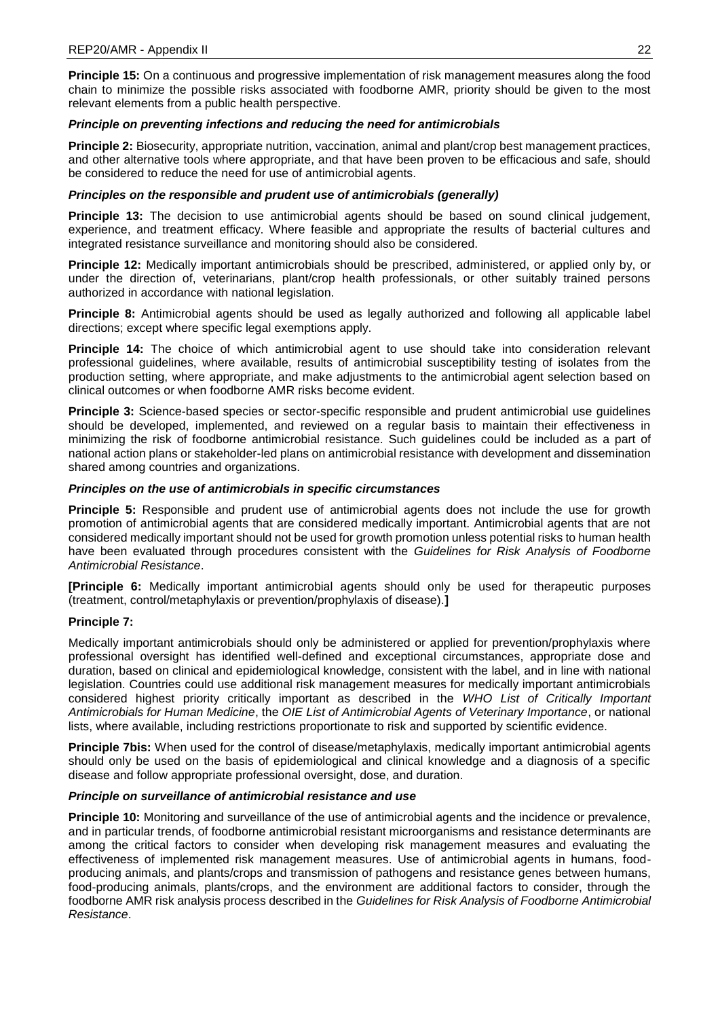**Principle 15:** On a continuous and progressive implementation of risk management measures along the food chain to minimize the possible risks associated with foodborne AMR, priority should be given to the most relevant elements from a public health perspective.

# *Principle on preventing infections and reducing the need for antimicrobials*

**Principle 2:** Biosecurity, appropriate nutrition, vaccination, animal and plant/crop best management practices, and other alternative tools where appropriate, and that have been proven to be efficacious and safe, should be considered to reduce the need for use of antimicrobial agents.

# *Principles on the responsible and prudent use of antimicrobials (generally)*

**Principle 13:** The decision to use antimicrobial agents should be based on sound clinical judgement, experience, and treatment efficacy. Where feasible and appropriate the results of bacterial cultures and integrated resistance surveillance and monitoring should also be considered.

**Principle 12:** Medically important antimicrobials should be prescribed, administered, or applied only by, or under the direction of, veterinarians, plant/crop health professionals, or other suitably trained persons authorized in accordance with national legislation.

**Principle 8:** Antimicrobial agents should be used as legally authorized and following all applicable label directions; except where specific legal exemptions apply.

**Principle 14:** The choice of which antimicrobial agent to use should take into consideration relevant professional guidelines, where available, results of antimicrobial susceptibility testing of isolates from the production setting, where appropriate, and make adjustments to the antimicrobial agent selection based on clinical outcomes or when foodborne AMR risks become evident.

**Principle 3:** Science-based species or sector-specific responsible and prudent antimicrobial use guidelines should be developed, implemented, and reviewed on a regular basis to maintain their effectiveness in minimizing the risk of foodborne antimicrobial resistance. Such guidelines could be included as a part of national action plans or stakeholder-led plans on antimicrobial resistance with development and dissemination shared among countries and organizations.

# *Principles on the use of antimicrobials in specific circumstances*

**Principle 5:** Responsible and prudent use of antimicrobial agents does not include the use for growth promotion of antimicrobial agents that are considered medically important. Antimicrobial agents that are not considered medically important should not be used for growth promotion unless potential risks to human health have been evaluated through procedures consistent with the *Guidelines for Risk Analysis of Foodborne Antimicrobial Resistance*.

**[Principle 6:** Medically important antimicrobial agents should only be used for therapeutic purposes (treatment, control/metaphylaxis or prevention/prophylaxis of disease).**]**

# **Principle 7:**

Medically important antimicrobials should only be administered or applied for prevention/prophylaxis where professional oversight has identified well-defined and exceptional circumstances, appropriate dose and duration, based on clinical and epidemiological knowledge, consistent with the label, and in line with national legislation. Countries could use additional risk management measures for medically important antimicrobials considered highest priority critically important as described in the *WHO List of Critically Important Antimicrobials for Human Medicine*, the *OIE List of Antimicrobial Agents of Veterinary Importance*, or national lists, where available, including restrictions proportionate to risk and supported by scientific evidence.

**Principle 7bis:** When used for the control of disease/metaphylaxis, medically important antimicrobial agents should only be used on the basis of epidemiological and clinical knowledge and a diagnosis of a specific disease and follow appropriate professional oversight, dose, and duration.

# *Principle on surveillance of antimicrobial resistance and use*

**Principle 10:** Monitoring and surveillance of the use of antimicrobial agents and the incidence or prevalence, and in particular trends, of foodborne antimicrobial resistant microorganisms and resistance determinants are among the critical factors to consider when developing risk management measures and evaluating the effectiveness of implemented risk management measures. Use of antimicrobial agents in humans, foodproducing animals, and plants/crops and transmission of pathogens and resistance genes between humans, food-producing animals, plants/crops, and the environment are additional factors to consider, through the foodborne AMR risk analysis process described in the *Guidelines for Risk Analysis of Foodborne Antimicrobial Resistance*.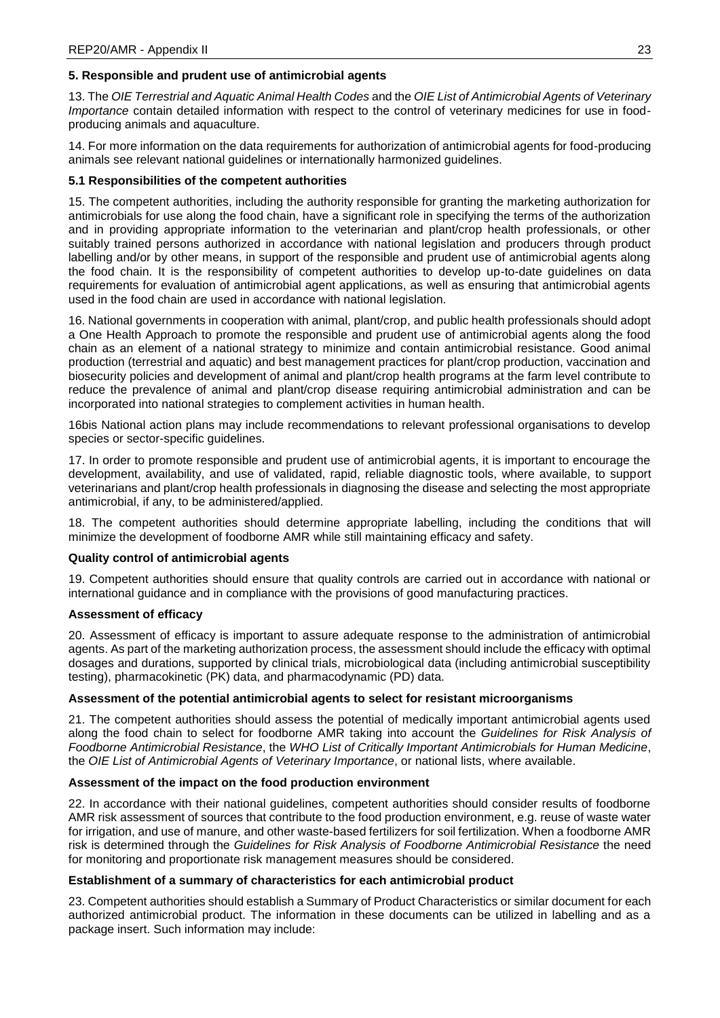# **5. Responsible and prudent use of antimicrobial agents**

13. The *OIE Terrestrial and Aquatic Animal Health Codes* and the *OIE List of Antimicrobial Agents of Veterinary Importance* contain detailed information with respect to the control of veterinary medicines for use in foodproducing animals and aquaculture.

14. For more information on the data requirements for authorization of antimicrobial agents for food-producing animals see relevant national guidelines or internationally harmonized guidelines.

## **5.1 Responsibilities of the competent authorities**

15. The competent authorities, including the authority responsible for granting the marketing authorization for antimicrobials for use along the food chain, have a significant role in specifying the terms of the authorization and in providing appropriate information to the veterinarian and plant/crop health professionals, or other suitably trained persons authorized in accordance with national legislation and producers through product labelling and/or by other means, in support of the responsible and prudent use of antimicrobial agents along the food chain. It is the responsibility of competent authorities to develop up-to-date guidelines on data requirements for evaluation of antimicrobial agent applications, as well as ensuring that antimicrobial agents used in the food chain are used in accordance with national legislation.

16. National governments in cooperation with animal, plant/crop, and public health professionals should adopt a One Health Approach to promote the responsible and prudent use of antimicrobial agents along the food chain as an element of a national strategy to minimize and contain antimicrobial resistance. Good animal production (terrestrial and aquatic) and best management practices for plant/crop production, vaccination and biosecurity policies and development of animal and plant/crop health programs at the farm level contribute to reduce the prevalence of animal and plant/crop disease requiring antimicrobial administration and can be incorporated into national strategies to complement activities in human health.

16bis National action plans may include recommendations to relevant professional organisations to develop species or sector-specific guidelines.

17. In order to promote responsible and prudent use of antimicrobial agents, it is important to encourage the development, availability, and use of validated, rapid, reliable diagnostic tools, where available, to support veterinarians and plant/crop health professionals in diagnosing the disease and selecting the most appropriate antimicrobial, if any, to be administered/applied.

18. The competent authorities should determine appropriate labelling, including the conditions that will minimize the development of foodborne AMR while still maintaining efficacy and safety.

## **Quality control of antimicrobial agents**

19. Competent authorities should ensure that quality controls are carried out in accordance with national or international guidance and in compliance with the provisions of good manufacturing practices.

## **Assessment of efficacy**

20. Assessment of efficacy is important to assure adequate response to the administration of antimicrobial agents. As part of the marketing authorization process, the assessment should include the efficacy with optimal dosages and durations, supported by clinical trials, microbiological data (including antimicrobial susceptibility testing), pharmacokinetic (PK) data, and pharmacodynamic (PD) data.

## **Assessment of the potential antimicrobial agents to select for resistant microorganisms**

21. The competent authorities should assess the potential of medically important antimicrobial agents used along the food chain to select for foodborne AMR taking into account the *Guidelines for Risk Analysis of Foodborne Antimicrobial Resistance*, the *WHO List of Critically Important Antimicrobials for Human Medicine*, the *OIE List of Antimicrobial Agents of Veterinary Importance*, or national lists, where available.

## **Assessment of the impact on the food production environment**

22. In accordance with their national guidelines, competent authorities should consider results of foodborne AMR risk assessment of sources that contribute to the food production environment, e.g. reuse of waste water for irrigation, and use of manure, and other waste-based fertilizers for soil fertilization. When a foodborne AMR risk is determined through the *Guidelines for Risk Analysis of Foodborne Antimicrobial Resistance* the need for monitoring and proportionate risk management measures should be considered.

## **Establishment of a summary of characteristics for each antimicrobial product**

23. Competent authorities should establish a Summary of Product Characteristics or similar document for each authorized antimicrobial product. The information in these documents can be utilized in labelling and as a package insert. Such information may include: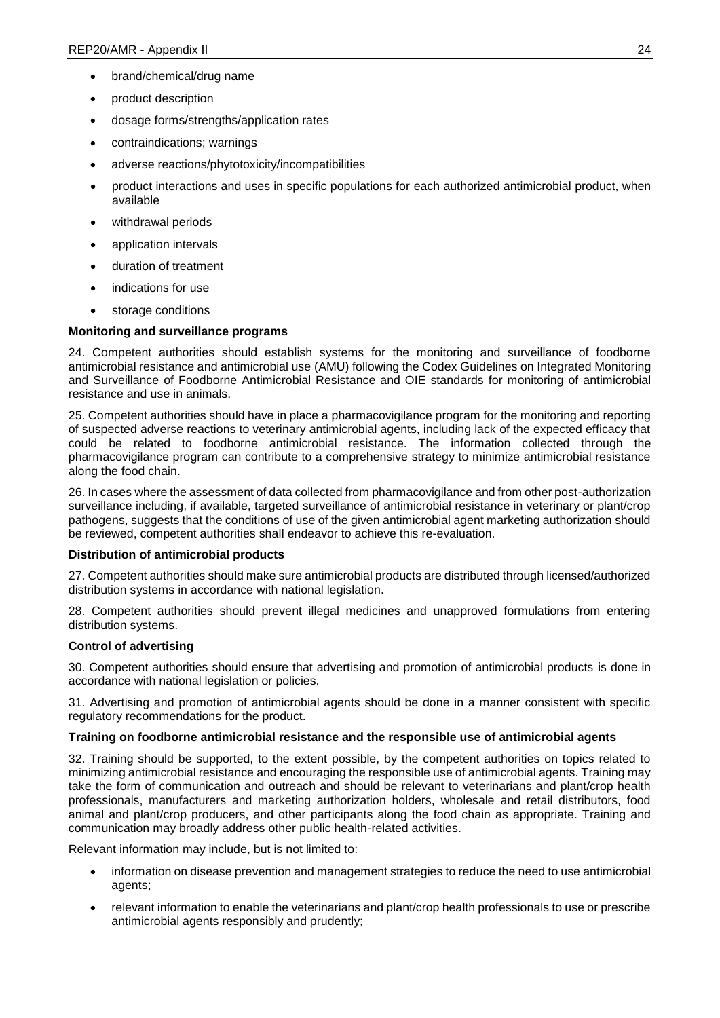- brand/chemical/drug name
- product description
- dosage forms/strengths/application rates
- contraindications; warnings
- adverse reactions/phytotoxicity/incompatibilities
- product interactions and uses in specific populations for each authorized antimicrobial product, when available
- withdrawal periods
- application intervals
- duration of treatment
- indications for use
- storage conditions

# **Monitoring and surveillance programs**

24. Competent authorities should establish systems for the monitoring and surveillance of foodborne antimicrobial resistance and antimicrobial use (AMU) following the Codex Guidelines on Integrated Monitoring and Surveillance of Foodborne Antimicrobial Resistance and OIE standards for monitoring of antimicrobial resistance and use in animals.

25. Competent authorities should have in place a pharmacovigilance program for the monitoring and reporting of suspected adverse reactions to veterinary antimicrobial agents, including lack of the expected efficacy that could be related to foodborne antimicrobial resistance. The information collected through the pharmacovigilance program can contribute to a comprehensive strategy to minimize antimicrobial resistance along the food chain.

26. In cases where the assessment of data collected from pharmacovigilance and from other post-authorization surveillance including, if available, targeted surveillance of antimicrobial resistance in veterinary or plant/crop pathogens, suggests that the conditions of use of the given antimicrobial agent marketing authorization should be reviewed, competent authorities shall endeavor to achieve this re-evaluation.

## **Distribution of antimicrobial products**

27. Competent authorities should make sure antimicrobial products are distributed through licensed/authorized distribution systems in accordance with national legislation.

28. Competent authorities should prevent illegal medicines and unapproved formulations from entering distribution systems.

## **Control of advertising**

30. Competent authorities should ensure that advertising and promotion of antimicrobial products is done in accordance with national legislation or policies.

31. Advertising and promotion of antimicrobial agents should be done in a manner consistent with specific regulatory recommendations for the product.

## **Training on foodborne antimicrobial resistance and the responsible use of antimicrobial agents**

32. Training should be supported, to the extent possible, by the competent authorities on topics related to minimizing antimicrobial resistance and encouraging the responsible use of antimicrobial agents. Training may take the form of communication and outreach and should be relevant to veterinarians and plant/crop health professionals, manufacturers and marketing authorization holders, wholesale and retail distributors, food animal and plant/crop producers, and other participants along the food chain as appropriate. Training and communication may broadly address other public health-related activities.

Relevant information may include, but is not limited to:

- information on disease prevention and management strategies to reduce the need to use antimicrobial agents;
- relevant information to enable the veterinarians and plant/crop health professionals to use or prescribe antimicrobial agents responsibly and prudently;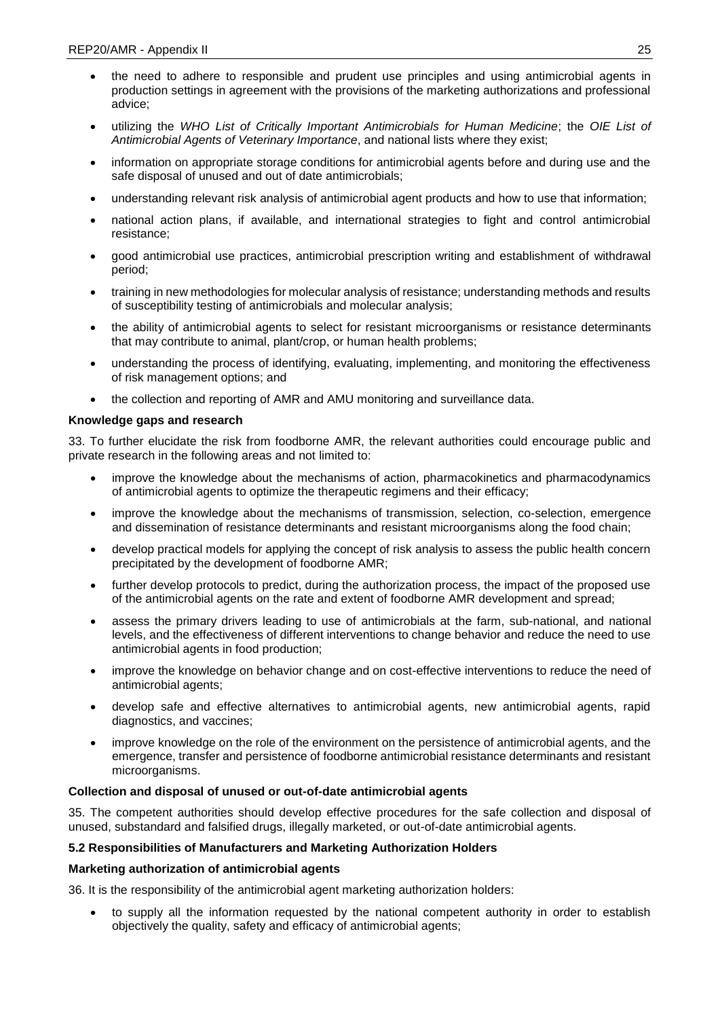- the need to adhere to responsible and prudent use principles and using antimicrobial agents in production settings in agreement with the provisions of the marketing authorizations and professional advice;
- utilizing the *WHO List of Critically Important Antimicrobials for Human Medicine*; the *OIE List of Antimicrobial Agents of Veterinary Importance*, and national lists where they exist;
- information on appropriate storage conditions for antimicrobial agents before and during use and the safe disposal of unused and out of date antimicrobials;
- understanding relevant risk analysis of antimicrobial agent products and how to use that information;
- national action plans, if available, and international strategies to fight and control antimicrobial resistance;
- good antimicrobial use practices, antimicrobial prescription writing and establishment of withdrawal period;
- training in new methodologies for molecular analysis of resistance; understanding methods and results of susceptibility testing of antimicrobials and molecular analysis;
- the ability of antimicrobial agents to select for resistant microorganisms or resistance determinants that may contribute to animal, plant/crop, or human health problems;
- understanding the process of identifying, evaluating, implementing, and monitoring the effectiveness of risk management options; and
- the collection and reporting of AMR and AMU monitoring and surveillance data.

# **Knowledge gaps and research**

33. To further elucidate the risk from foodborne AMR, the relevant authorities could encourage public and private research in the following areas and not limited to:

- improve the knowledge about the mechanisms of action, pharmacokinetics and pharmacodynamics of antimicrobial agents to optimize the therapeutic regimens and their efficacy;
- improve the knowledge about the mechanisms of transmission, selection, co-selection, emergence and dissemination of resistance determinants and resistant microorganisms along the food chain;
- develop practical models for applying the concept of risk analysis to assess the public health concern precipitated by the development of foodborne AMR;
- further develop protocols to predict, during the authorization process, the impact of the proposed use of the antimicrobial agents on the rate and extent of foodborne AMR development and spread;
- assess the primary drivers leading to use of antimicrobials at the farm, sub-national, and national levels, and the effectiveness of different interventions to change behavior and reduce the need to use antimicrobial agents in food production;
- improve the knowledge on behavior change and on cost-effective interventions to reduce the need of antimicrobial agents;
- develop safe and effective alternatives to antimicrobial agents, new antimicrobial agents, rapid diagnostics, and vaccines;
- improve knowledge on the role of the environment on the persistence of antimicrobial agents, and the emergence, transfer and persistence of foodborne antimicrobial resistance determinants and resistant microorganisms.

# **Collection and disposal of unused or out-of-date antimicrobial agents**

35. The competent authorities should develop effective procedures for the safe collection and disposal of unused, substandard and falsified drugs, illegally marketed, or out-of-date antimicrobial agents.

## **5.2 Responsibilities of Manufacturers and Marketing Authorization Holders**

## **Marketing authorization of antimicrobial agents**

36. It is the responsibility of the antimicrobial agent marketing authorization holders:

• to supply all the information requested by the national competent authority in order to establish objectively the quality, safety and efficacy of antimicrobial agents;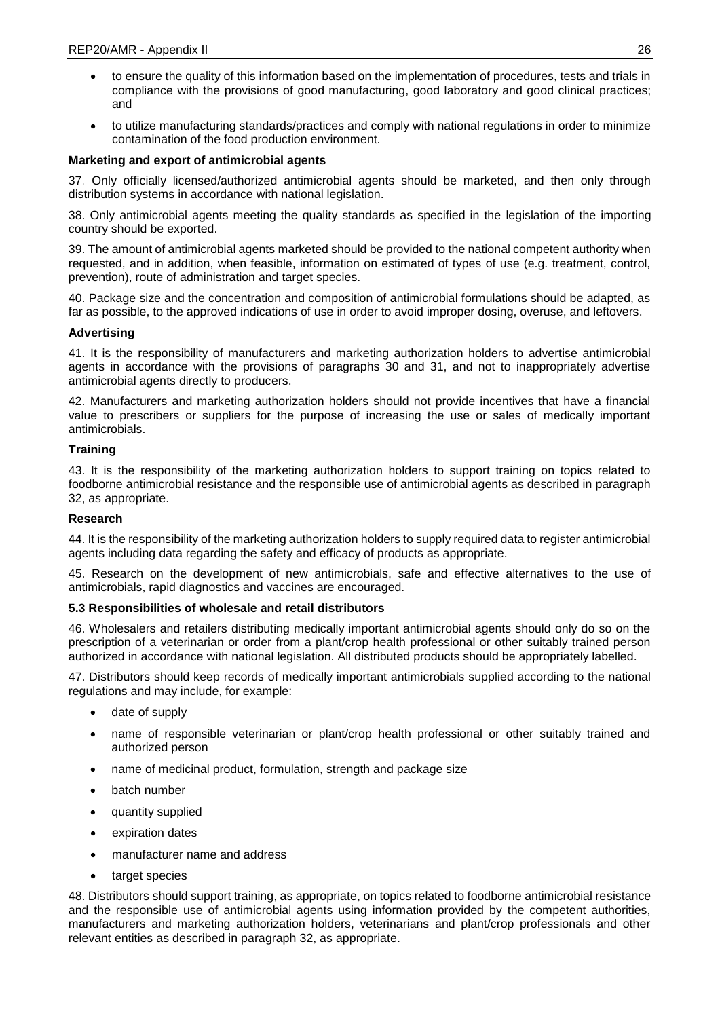- to ensure the quality of this information based on the implementation of procedures, tests and trials in compliance with the provisions of good manufacturing, good laboratory and good clinical practices; and
- to utilize manufacturing standards/practices and comply with national regulations in order to minimize contamination of the food production environment.

# **Marketing and export of antimicrobial agents**

37. Only officially licensed/authorized antimicrobial agents should be marketed, and then only through distribution systems in accordance with national legislation.

38. Only antimicrobial agents meeting the quality standards as specified in the legislation of the importing country should be exported.

39. The amount of antimicrobial agents marketed should be provided to the national competent authority when requested, and in addition, when feasible, information on estimated of types of use (e.g. treatment, control, prevention), route of administration and target species.

40. Package size and the concentration and composition of antimicrobial formulations should be adapted, as far as possible, to the approved indications of use in order to avoid improper dosing, overuse, and leftovers.

# **Advertising**

41. It is the responsibility of manufacturers and marketing authorization holders to advertise antimicrobial agents in accordance with the provisions of paragraphs 30 and 31, and not to inappropriately advertise antimicrobial agents directly to producers.

42. Manufacturers and marketing authorization holders should not provide incentives that have a financial value to prescribers or suppliers for the purpose of increasing the use or sales of medically important antimicrobials.

# **Training**

43. It is the responsibility of the marketing authorization holders to support training on topics related to foodborne antimicrobial resistance and the responsible use of antimicrobial agents as described in paragraph 32, as appropriate.

## **Research**

44. It is the responsibility of the marketing authorization holders to supply required data to register antimicrobial agents including data regarding the safety and efficacy of products as appropriate.

45. Research on the development of new antimicrobials, safe and effective alternatives to the use of antimicrobials, rapid diagnostics and vaccines are encouraged.

## **5.3 Responsibilities of wholesale and retail distributors**

46. Wholesalers and retailers distributing medically important antimicrobial agents should only do so on the prescription of a veterinarian or order from a plant/crop health professional or other suitably trained person authorized in accordance with national legislation. All distributed products should be appropriately labelled.

47. Distributors should keep records of medically important antimicrobials supplied according to the national regulations and may include, for example:

- date of supply
- name of responsible veterinarian or plant/crop health professional or other suitably trained and authorized person
- name of medicinal product, formulation, strength and package size
- batch number
- quantity supplied
- expiration dates
- manufacturer name and address
- target species

48. Distributors should support training, as appropriate, on topics related to foodborne antimicrobial resistance and the responsible use of antimicrobial agents using information provided by the competent authorities, manufacturers and marketing authorization holders, veterinarians and plant/crop professionals and other relevant entities as described in paragraph 32, as appropriate.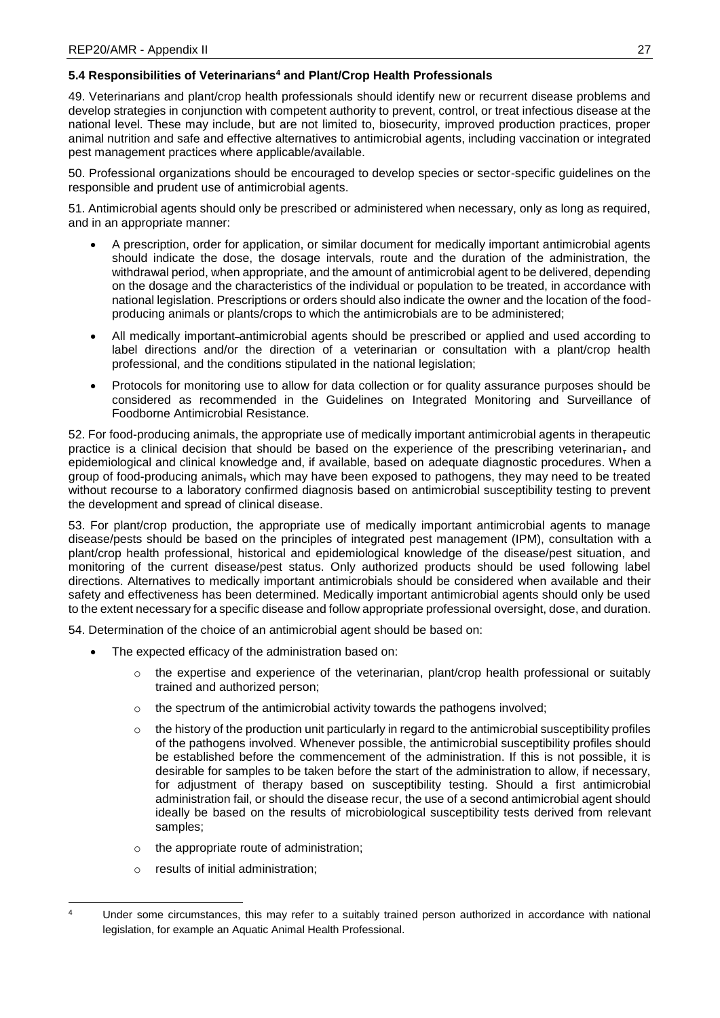# **5.4 Responsibilities of Veterinarians<sup>4</sup> and Plant/Crop Health Professionals**

49. Veterinarians and plant/crop health professionals should identify new or recurrent disease problems and develop strategies in conjunction with competent authority to prevent, control, or treat infectious disease at the national level. These may include, but are not limited to, biosecurity, improved production practices, proper animal nutrition and safe and effective alternatives to antimicrobial agents, including vaccination or integrated pest management practices where applicable/available.

50. Professional organizations should be encouraged to develop species or sector-specific guidelines on the responsible and prudent use of antimicrobial agents.

51. Antimicrobial agents should only be prescribed or administered when necessary, only as long as required, and in an appropriate manner:

- A prescription, order for application, or similar document for medically important antimicrobial agents should indicate the dose, the dosage intervals, route and the duration of the administration, the withdrawal period, when appropriate, and the amount of antimicrobial agent to be delivered, depending on the dosage and the characteristics of the individual or population to be treated, in accordance with national legislation. Prescriptions or orders should also indicate the owner and the location of the foodproducing animals or plants/crops to which the antimicrobials are to be administered;
- All medically important-antimicrobial agents should be prescribed or applied and used according to label directions and/or the direction of a veterinarian or consultation with a plant/crop health professional, and the conditions stipulated in the national legislation;
- Protocols for monitoring use to allow for data collection or for quality assurance purposes should be considered as recommended in the Guidelines on Integrated Monitoring and Surveillance of Foodborne Antimicrobial Resistance.

52. For food-producing animals, the appropriate use of medically important antimicrobial agents in therapeutic practice is a clinical decision that should be based on the experience of the prescribing veterinarian, and epidemiological and clinical knowledge and, if available, based on adequate diagnostic procedures. When a group of food-producing animals, which may have been exposed to pathogens, they may need to be treated without recourse to a laboratory confirmed diagnosis based on antimicrobial susceptibility testing to prevent the development and spread of clinical disease.

53. For plant/crop production, the appropriate use of medically important antimicrobial agents to manage disease/pests should be based on the principles of integrated pest management (IPM), consultation with a plant/crop health professional, historical and epidemiological knowledge of the disease/pest situation, and monitoring of the current disease/pest status. Only authorized products should be used following label directions. Alternatives to medically important antimicrobials should be considered when available and their safety and effectiveness has been determined. Medically important antimicrobial agents should only be used to the extent necessary for a specific disease and follow appropriate professional oversight, dose, and duration.

54. Determination of the choice of an antimicrobial agent should be based on:

- The expected efficacy of the administration based on:
	- $\circ$  the expertise and experience of the veterinarian, plant/crop health professional or suitably trained and authorized person;
	- $\circ$  the spectrum of the antimicrobial activity towards the pathogens involved;
	- $\circ$  the history of the production unit particularly in regard to the antimicrobial susceptibility profiles of the pathogens involved. Whenever possible, the antimicrobial susceptibility profiles should be established before the commencement of the administration. If this is not possible, it is desirable for samples to be taken before the start of the administration to allow, if necessary, for adjustment of therapy based on susceptibility testing. Should a first antimicrobial administration fail, or should the disease recur, the use of a second antimicrobial agent should ideally be based on the results of microbiological susceptibility tests derived from relevant samples;
	- o the appropriate route of administration;
	- o results of initial administration;

 $\overline{A}$ Under some circumstances, this may refer to a suitably trained person authorized in accordance with national legislation, for example an Aquatic Animal Health Professional.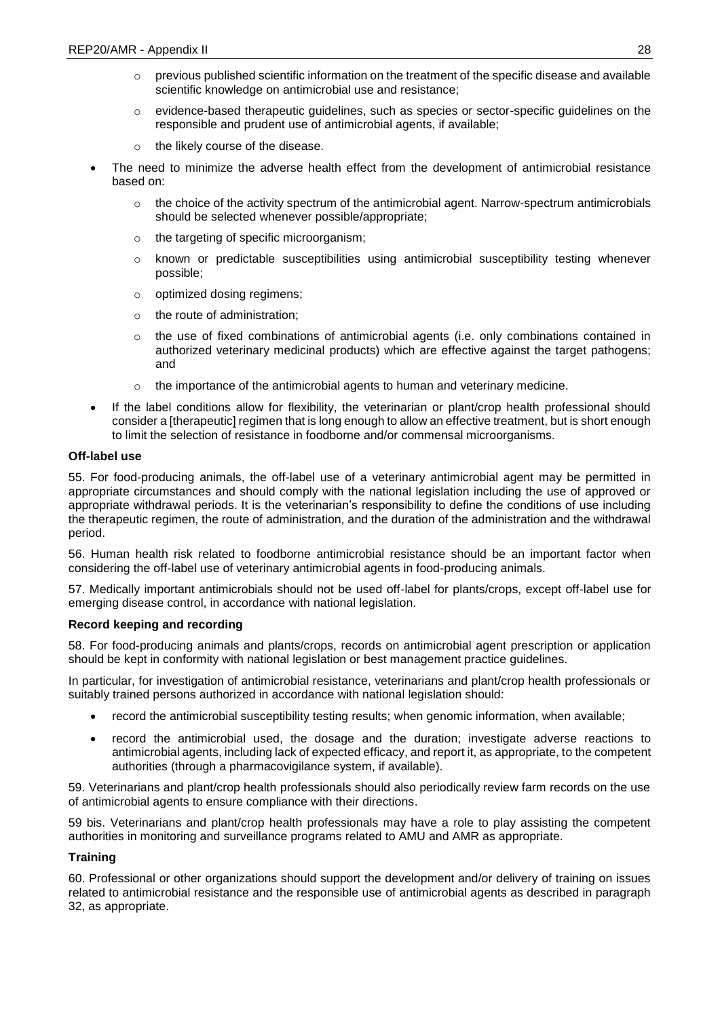- $\circ$  previous published scientific information on the treatment of the specific disease and available scientific knowledge on antimicrobial use and resistance;
- $\circ$  evidence-based therapeutic guidelines, such as species or sector-specific guidelines on the responsible and prudent use of antimicrobial agents, if available;
- o the likely course of the disease.
- The need to minimize the adverse health effect from the development of antimicrobial resistance based on:
	- $\circ$  the choice of the activity spectrum of the antimicrobial agent. Narrow-spectrum antimicrobials should be selected whenever possible/appropriate;
	- o the targeting of specific microorganism;
	- $\circ$  known or predictable susceptibilities using antimicrobial susceptibility testing whenever possible;
	- o optimized dosing regimens;
	- o the route of administration;
	- $\circ$  the use of fixed combinations of antimicrobial agents (i.e. only combinations contained in authorized veterinary medicinal products) which are effective against the target pathogens; and
	- o the importance of the antimicrobial agents to human and veterinary medicine.
- If the label conditions allow for flexibility, the veterinarian or plant/crop health professional should consider a [therapeutic] regimen that is long enough to allow an effective treatment, but is short enough to limit the selection of resistance in foodborne and/or commensal microorganisms.

# **Off-label use**

55. For food-producing animals, the off-label use of a veterinary antimicrobial agent may be permitted in appropriate circumstances and should comply with the national legislation including the use of approved or appropriate withdrawal periods. It is the veterinarian's responsibility to define the conditions of use including the therapeutic regimen, the route of administration, and the duration of the administration and the withdrawal period.

56. Human health risk related to foodborne antimicrobial resistance should be an important factor when considering the off-label use of veterinary antimicrobial agents in food-producing animals.

57. Medically important antimicrobials should not be used off-label for plants/crops, except off-label use for emerging disease control, in accordance with national legislation.

# **Record keeping and recording**

58. For food-producing animals and plants/crops, records on antimicrobial agent prescription or application should be kept in conformity with national legislation or best management practice guidelines.

In particular, for investigation of antimicrobial resistance, veterinarians and plant/crop health professionals or suitably trained persons authorized in accordance with national legislation should:

- record the antimicrobial susceptibility testing results; when genomic information, when available;
- record the antimicrobial used, the dosage and the duration; investigate adverse reactions to antimicrobial agents, including lack of expected efficacy, and report it, as appropriate, to the competent authorities (through a pharmacovigilance system, if available).

59. Veterinarians and plant/crop health professionals should also periodically review farm records on the use of antimicrobial agents to ensure compliance with their directions.

59 bis. Veterinarians and plant/crop health professionals may have a role to play assisting the competent authorities in monitoring and surveillance programs related to AMU and AMR as appropriate.

# **Training**

60. Professional or other organizations should support the development and/or delivery of training on issues related to antimicrobial resistance and the responsible use of antimicrobial agents as described in paragraph 32, as appropriate.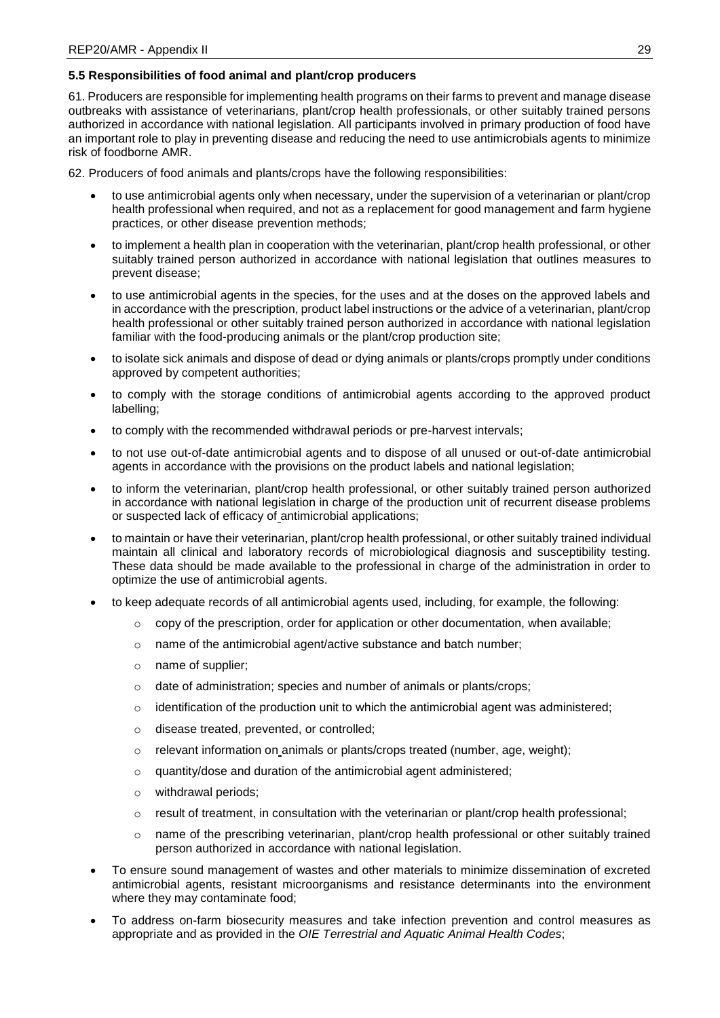# **5.5 Responsibilities of food animal and plant/crop producers**

61. Producers are responsible for implementing health programs on their farms to prevent and manage disease outbreaks with assistance of veterinarians, plant/crop health professionals, or other suitably trained persons authorized in accordance with national legislation. All participants involved in primary production of food have an important role to play in preventing disease and reducing the need to use antimicrobials agents to minimize risk of foodborne AMR.

62. Producers of food animals and plants/crops have the following responsibilities:

- to use antimicrobial agents only when necessary, under the supervision of a veterinarian or plant/crop health professional when required, and not as a replacement for good management and farm hygiene practices, or other disease prevention methods;
- to implement a health plan in cooperation with the veterinarian, plant/crop health professional, or other suitably trained person authorized in accordance with national legislation that outlines measures to prevent disease;
- to use antimicrobial agents in the species, for the uses and at the doses on the approved labels and in accordance with the prescription, product label instructions or the advice of a veterinarian, plant/crop health professional or other suitably trained person authorized in accordance with national legislation familiar with the food-producing animals or the plant/crop production site;
- to isolate sick animals and dispose of dead or dying animals or plants/crops promptly under conditions approved by competent authorities;
- to comply with the storage conditions of antimicrobial agents according to the approved product labelling;
- to comply with the recommended withdrawal periods or pre-harvest intervals;
- to not use out-of-date antimicrobial agents and to dispose of all unused or out-of-date antimicrobial agents in accordance with the provisions on the product labels and national legislation;
- to inform the veterinarian, plant/crop health professional, or other suitably trained person authorized in accordance with national legislation in charge of the production unit of recurrent disease problems or suspected lack of efficacy of antimicrobial applications;
- to maintain or have their veterinarian, plant/crop health professional, or other suitably trained individual maintain all clinical and laboratory records of microbiological diagnosis and susceptibility testing. These data should be made available to the professional in charge of the administration in order to optimize the use of antimicrobial agents.
- to keep adequate records of all antimicrobial agents used, including, for example, the following:
	- $\circ$  copy of the prescription, order for application or other documentation, when available;
	- o name of the antimicrobial agent/active substance and batch number;
	- o name of supplier;
	- o date of administration; species and number of animals or plants/crops;
	- $\circ$  identification of the production unit to which the antimicrobial agent was administered;
	- o disease treated, prevented, or controlled;
	- $\circ$  relevant information on animals or plants/crops treated (number, age, weight);
	- o quantity/dose and duration of the antimicrobial agent administered;
	- o withdrawal periods;
	- $\circ$  result of treatment, in consultation with the veterinarian or plant/crop health professional;
	- $\circ$  name of the prescribing veterinarian, plant/crop health professional or other suitably trained person authorized in accordance with national legislation.
- To ensure sound management of wastes and other materials to minimize dissemination of excreted antimicrobial agents, resistant microorganisms and resistance determinants into the environment where they may contaminate food;
- To address on-farm biosecurity measures and take infection prevention and control measures as appropriate and as provided in the *OIE Terrestrial and Aquatic Animal Health Codes*;